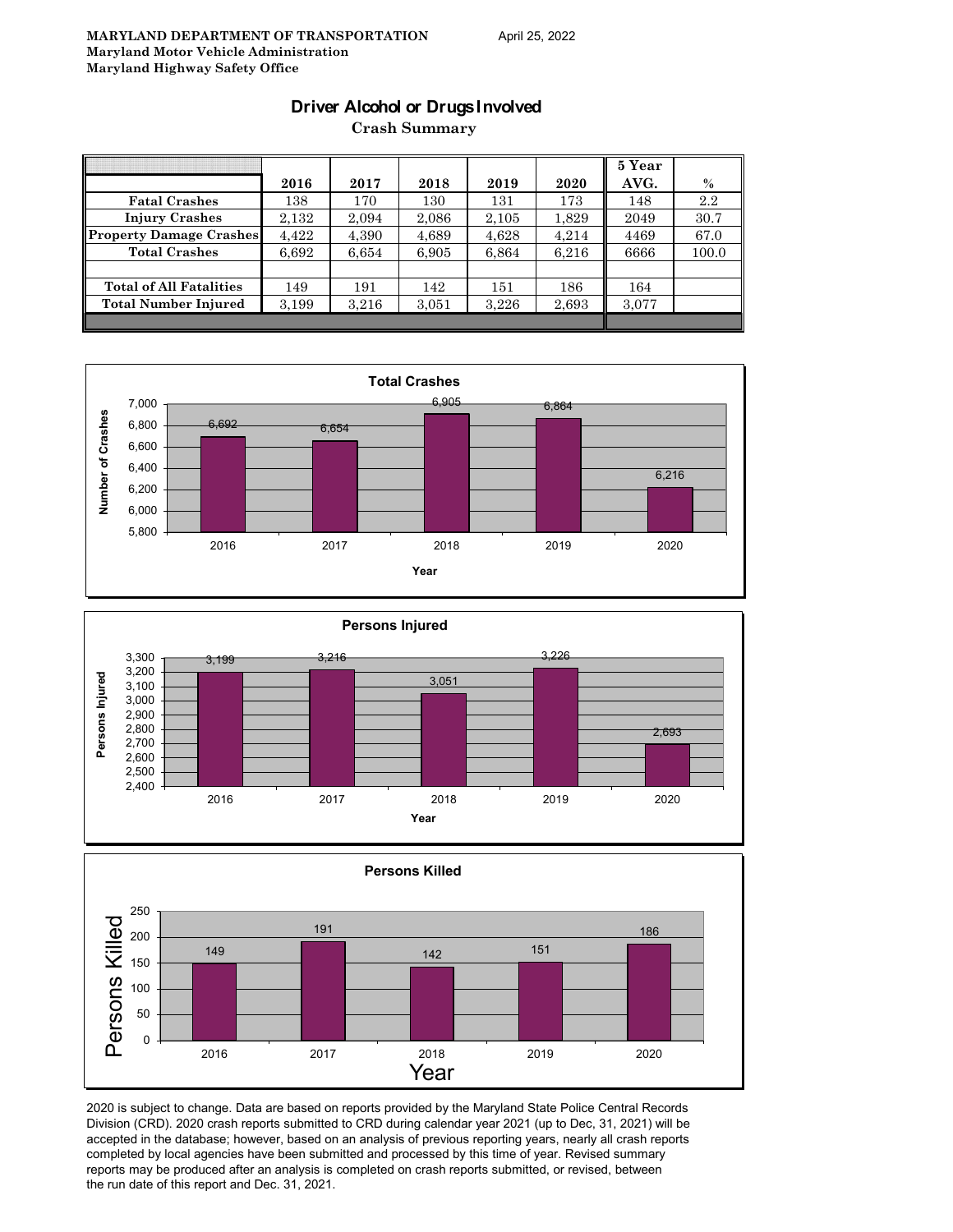#### **Driver Alcohol or Drugs Involved**

**Crash Summary**

|                                |       |       |       |       |       | 5 Year |       |
|--------------------------------|-------|-------|-------|-------|-------|--------|-------|
|                                | 2016  | 2017  | 2018  | 2019  | 2020  | AVG.   | $\%$  |
| <b>Fatal Crashes</b>           | 138   | 170   | 130   | 131   | 173   | 148    | 2.2   |
| <b>Injury Crashes</b>          | 2.132 | 2,094 | 2,086 | 2,105 | 1,829 | 2049   | 30.7  |
| <b>Property Damage Crashes</b> | 4.422 | 4.390 | 4,689 | 4,628 | 4.214 | 4469   | 67.0  |
| <b>Total Crashes</b>           | 6,692 | 6,654 | 6,905 | 6,864 | 6,216 | 6666   | 100.0 |
|                                |       |       |       |       |       |        |       |
| <b>Total of All Fatalities</b> | 149   | 191   | 142   | 151   | 186   | 164    |       |
| <b>Total Number Injured</b>    | 3,199 | 3,216 | 3,051 | 3,226 | 2,693 | 3,077  |       |
|                                |       |       |       |       |       |        |       |







2020 is subject to change. Data are based on reports provided by the Maryland State Police Central Records Division (CRD). 2020 crash reports submitted to CRD during calendar year 2021 (up to Dec, 31, 2021) will be accepted in the database; however, based on an analysis of previous reporting years, nearly all crash reports completed by local agencies have been submitted and processed by this time of year. Revised summary reports may be produced after an analysis is completed on crash reports submitted, or revised, between the run date of this report and Dec. 31, 2021.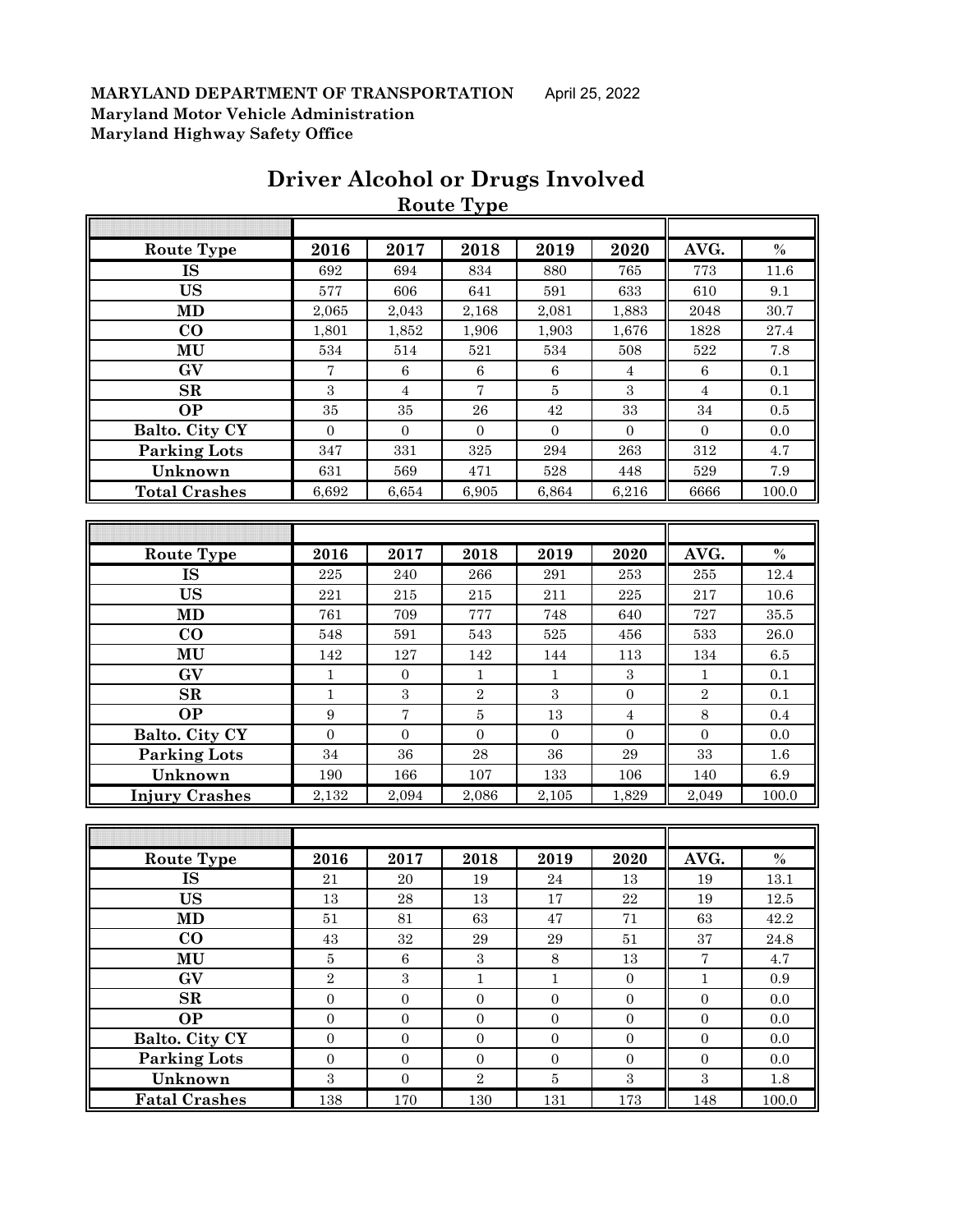|                        |                         |                  | <b>Route Type</b> |                  |                  |                   |          |
|------------------------|-------------------------|------------------|-------------------|------------------|------------------|-------------------|----------|
|                        |                         |                  |                   |                  |                  |                   |          |
| <b>Route Type</b>      | 2016                    | 2017             | 2018              | 2019             | 2020             | AVG.              | $\%$     |
| IS                     | 692                     | 694              | 834               | 880              | 765              | 773               | 11.6     |
| <b>US</b>              | 577                     | 606              | 641               | 591              | 633              | 610               | 9.1      |
| MD                     | 2,065                   | 2,043            | 2,168             | 2,081            | 1,883            | 2048              | 30.7     |
| $\bf CO$               | 1,801                   | 1,852            | 1,906             | 1,903            | 1,676            | 1828              | 27.4     |
| MU                     | 534                     | 514              | 521               | 534              | 508              | 522               | 7.8      |
| GV                     | 7                       | $\,6\,$          | $\,6$             | $\,6$            | $\overline{4}$   | $\,6\,$           | 0.1      |
| SR                     | 3                       | $\sqrt{4}$       | $\overline{7}$    | $\bf 5$          | $\,3$            | $\overline{4}$    | 0.1      |
| <b>OP</b>              | 35                      | 35               | 26                | 42               | 33               | 34                | 0.5      |
| Balto. City CY         | $\overline{0}$          | $\overline{0}$   | $\boldsymbol{0}$  | $\boldsymbol{0}$ | $\overline{0}$   | $\overline{0}$    | 0.0      |
| <b>Parking Lots</b>    | 347                     | 331              | $325\,$           | 294              | 263              | $312\,$           | $4.7\,$  |
| Unknown                | 631                     | 569              | 471               | 528              | 448              | 529               | 7.9      |
| <b>Total Crashes</b>   | 6,692                   | 6,654            | 6,905             | 6,864            | 6,216            | 6666              | 100.0    |
|                        |                         |                  |                   |                  |                  |                   |          |
|                        |                         |                  |                   |                  |                  |                   |          |
| <b>Route Type</b>      | 2016                    | 2017             | 2018              | 2019             | 2020             | AVG.              | $\%$     |
| <b>IS</b>              | 225                     | 240              | 266               | 291              | 253              | 255               | 12.4     |
| <b>US</b>              | 221                     | 215              | $215\,$           | 211              | 225              | 217               | 10.6     |
| <b>MD</b>              | 761                     | 709              | 777               | 748              | 640              | 727               | 35.5     |
| $\bf CO$               | 548                     | 591              | 543               | $525\,$          | 456              | 533               | 26.0     |
| MU                     | 142                     | 127              | 142               | 144              | 113              | 134               | 6.5      |
| GV                     | $\mathbf{1}$            | $\mathbf{0}$     | $\mathbf{1}$      | $\mathbf{1}$     | $\sqrt{3}$       | 1                 | $0.1\,$  |
| SR                     | 1                       | $\,3$            | $\sqrt{2}$        | 3                | $\mathbf{0}$     | $\sqrt{2}$        | 0.1      |
| <b>OP</b>              | $\boldsymbol{9}$        | $\sqrt{ }$       | $\bf 5$           | 13               | 4                | 8                 | 0.4      |
| Balto. City CY         | $\mathbf{0}$            | $\mathbf{0}$     | $\boldsymbol{0}$  | $\boldsymbol{0}$ | $\boldsymbol{0}$ | $\mathbf{0}$      | $0.0\,$  |
| <b>Parking Lots</b>    | 34                      | 36               | 28                | 36               | 29               | 33                | $1.6\,$  |
| Unknown                | 190                     | 166              | 107               | 133              | 106              | 140               | 6.9      |
| <b>Injury Crashes</b>  | 2,132                   | 2,094            | 2,086             | 2,105            | 1,829            | 2,049             | 100.0    |
|                        |                         |                  |                   |                  |                  |                   |          |
|                        |                         |                  |                   |                  |                  |                   |          |
| Route Type             | 2016                    | 2017             | 2018              | 2019             | 2020             | AVG.              | $\%$     |
| IS                     | $21\,$                  | $20\,$           | 19                | $\bf 24$         | $13\,$           | $19\,$            | 13.1     |
| <b>US</b>              | $13\,$                  | $\bf 28$         | 13                | $17\,$           | 22               | 19                | $12.5\,$ |
| MD                     | 51                      | 81               | 63                | 47               | 71               | 63                | 42.2     |
| $\bf CO$               | $43\,$                  | $32\,$           | $\bf 29$          | $\,29$           | $51\,$           | 37                | 24.8     |
| MU                     | $5\,$                   | $\,6\,$          | $\,3$             | $8\,$            | $13\,$           | $\scriptstyle{7}$ | 4.7      |
| $\mathbf{G}\mathbf{V}$ | $\overline{2}$          | $\overline{3}$   | $\mathbf 1$       | $\mathbf 1$      | $\boldsymbol{0}$ | $\mathbf 1$       | 0.9      |
| SR                     | $\boldsymbol{0}$        | $\boldsymbol{0}$ | $\boldsymbol{0}$  | $\boldsymbol{0}$ | $\boldsymbol{0}$ | $\boldsymbol{0}$  | $0.0\,$  |
| <b>OP</b>              | $\boldsymbol{0}$        | $\boldsymbol{0}$ | $\boldsymbol{0}$  | $\boldsymbol{0}$ | $\boldsymbol{0}$ | $\boldsymbol{0}$  | 0.0      |
| Balto. City CY         | $\boldsymbol{0}$        | $\boldsymbol{0}$ | $\boldsymbol{0}$  | $\boldsymbol{0}$ | $\boldsymbol{0}$ | $\boldsymbol{0}$  | $0.0\,$  |
| <b>Parking Lots</b>    | $\boldsymbol{0}$        | $\boldsymbol{0}$ | $\boldsymbol{0}$  | $\boldsymbol{0}$ | $\boldsymbol{0}$ | $\overline{0}$    | 0.0      |
| Unknown                | $\overline{\mathbf{3}}$ | $\boldsymbol{0}$ | $\,2$             | $\bf 5$          | $\boldsymbol{3}$ | $\overline{3}$    | $1.8\,$  |
| <b>Fatal Crashes</b>   | 138                     | 170              | 130               | 131              | 173              | 148               | 100.0    |

## **Driver Alcohol or Drugs Involved**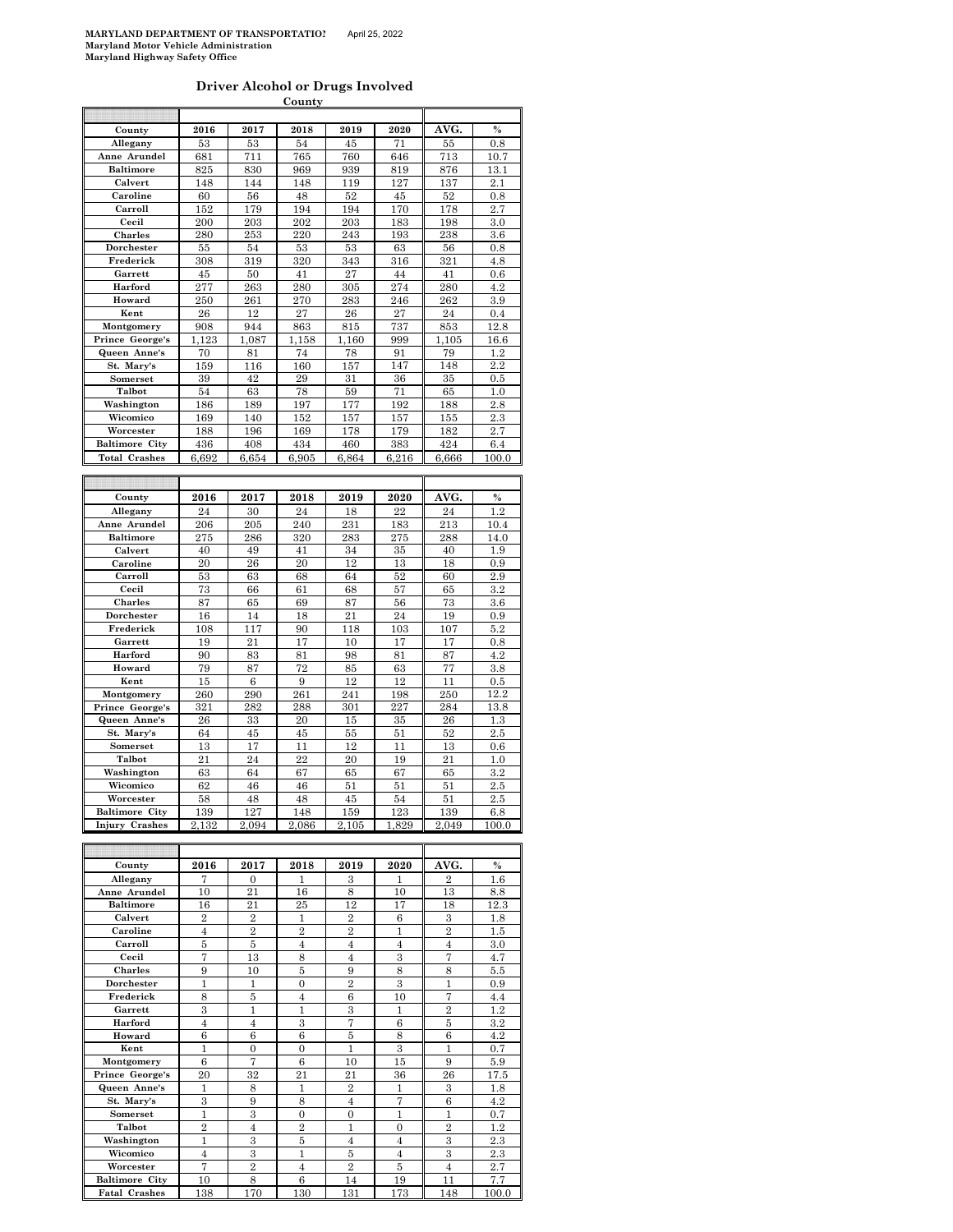| Driver Alcohol or Drugs Involved |  |  |
|----------------------------------|--|--|
| County                           |  |  |

| County                | 2016  | 2017  | 2018  | 2019  | 2020  | AVG.  | $\%$          |
|-----------------------|-------|-------|-------|-------|-------|-------|---------------|
| Allegany              | 53    | 53    | 54    | 45    | 71    | 55    | $_{0.8}$      |
| Anne Arundel          | 681   | 711   | 765   | 760   | 646   | 713   | 10.7          |
| <b>Baltimore</b>      | 825   | 830   | 969   | 939   | 819   | 876   | 13.1          |
| Calvert               | 148   | 144   | 148   | 119   | 127   | 137   | 2.1           |
| Caroline              | 60    | 56    | 48    | 52    | 45    | 52    | $_{0.8}$      |
| Carroll               | 152   | 179   | 194   | 194   | 170   | 178   | 2.7           |
| Cecil                 | 200   | 203   | 202   | 203   | 183   | 198   | 3.0           |
| <b>Charles</b>        | 280   | 253   | 220   | 243   | 193   | 238   | 3.6           |
| Dorchester            | 55    | 54    | 53    | 53    | 63    | 56    | 0.8           |
| Frederick             | 308   | 319   | 320   | 343   | 316   | 321   | 4.8           |
| Garrett               | 45    | 50    | 41    | 27    | 44    | 41    | 0.6           |
| Harford               | 277   | 263   | 280   | 305   | 274   | 280   | 4.2           |
| Howard                | 250   | 261   | 270   | 283   | 246   | 262   | 3.9           |
| Kent                  | 26    | 12    | 27    | 26    | 27    | 24    | 0.4           |
| Montgomery            | 908   | 944   | 863   | 815   | 737   | 853   | 12.8          |
| Prince George's       | 1.123 | 1.087 | 1,158 | 1.160 | 999   | 1.105 | 16.6          |
| Queen Anne's          | 70    | 81    | 74    | 78    | 91    | 79    | 1.2           |
| St. Mary's            | 159   | 116   | 160   | 157   | 147   | 148   | 2.2           |
| Somerset              | 39    | 42    | 29    | 31    | 36    | 35    | 0.5           |
| Talbot                | 54    | 63    | 78    | 59    | 71    | 65    | 1.0           |
| Washington            | 186   | 189   | 197   | 177   | 192   | 188   | 2.8           |
| Wicomico              | 169   | 140   | 152   | 157   | 157   | 155   | 2.3           |
| Worcester             | 188   | 196   | 169   | 178   | 179   | 182   | 2.7           |
| <b>Baltimore City</b> | 436   | 408   | 434   | 460   | 383   | 424   | 6.4           |
| <b>Total Crashes</b>  | 6,692 | 6,654 | 6,905 | 6,864 | 6,216 | 6,666 | 100.0         |
|                       |       |       |       |       |       |       |               |
|                       |       |       |       |       |       |       |               |
|                       |       |       |       |       |       |       |               |
| County                | 2016  | 2017  | 2018  | 2019  | 2020  | AVG.  | $\%$          |
| Allegany              | 24    | 30    | 24    | 18    | 22    | 24    | 1.2           |
| Anne Arundel          | 206   | 205   | 240   | 231   | 183   | 213   | 10.4          |
| <b>Baltimore</b>      | 275   | 286   | 320   | 283   | 275   | 288   | 14.0          |
| Calvert               |       |       |       |       |       |       |               |
|                       | 40    | 49    | 41    | 34    | 35    | 40    | 1.9           |
| Caroline              | 20    | 26    | 20    | 12    | 13    | 18    | 0.9           |
| Carroll               | 53    | 63    | 68    | 64    | 52    | 60    | 2.9           |
| Cecil                 | 73    | 66    | 61    | 68    | 57    | 65    | 3.2           |
| Charles               | 87    | 65    | 69    | 87    | 56    | 73    | 3.6           |
| Dorchester            | 16    | 14    | 18    | 21    | 24    | 19    | $_{0.9}$      |
| Frederick             | 108   | 117   | 90    | 118   | 103   | 107   | 5.2           |
| Garrett               | 19    | 21    | 17    | 10    | 17    | 17    | $_{0.8}$      |
| Harford               | 90    | 83    | 81    | 98    | 81    | 87    | 4.2           |
| Howard                | 79    | 87    | 72    | 85    | 63    | 77    | $\!.8$        |
| Kent                  | 15    | 6     | 9     | 12    | 12    | 11    | 0.5           |
| Montgomery            | 260   | 290   | 261   | 241   | 198   | 250   | 12.2          |
| Prince George's       | 321   | 282   | 288   | 301   | 227   | 284   | 13.8          |
| Queen Anne's          | 26    | 33    | 20    | 15    | 35    | 26    | 1.3           |
| St. Mary's            | 64    | 45    | 45    | 55    | 51    | 52    | $2.5\,$       |
| Somerset              | 13    | 17    | 11    | 12    | 11    | 13    | $_{0.6}$      |
| Talbot                | 21    | 24    | 22    | 20    | 19    | 21    | 1.0           |
| Washington            | 63    | 64    | 67    | 65    | 67    | 65    | 3.2           |
|                       |       |       |       |       |       |       |               |
| Wicomico              | 62    | 46    | 46    | 51    | 51    | 51    | $2.5\,$       |
| Worcester             | 58    | 48    | 48    | 45    | 54    | 51    | $2.5\,$       |
| <b>Baltimore City</b> | 139   | 127   | 148   | 159   | 123   | 139   | 6.8           |
| <b>Injury Crashes</b> | 2,132 | 2,094 | 2,086 | 2,105 | 1,829 | 2.049 | 100.0         |
|                       |       |       |       |       |       |       |               |
| County                | 2016  | 2017  | 2018  | 2019  | 2020  | AVG.  | $\frac{1}{2}$ |

| County                | 2016           | 2017           | 2018           | 2019           | 2020           | AVG.           | $\%$    |
|-----------------------|----------------|----------------|----------------|----------------|----------------|----------------|---------|
| Allegany              | 7              | $\theta$       | 1              | 3              | 1              | $\overline{2}$ | 1.6     |
| Anne Arundel          | 10             | 21             | 16             | 8              | 10             | 13             | 8.8     |
| <b>Baltimore</b>      | 16             | 21             | 25             | 12             | 17             | 18             | 12.3    |
| Calvert               | $\overline{2}$ | $\overline{2}$ | 1              | $\overline{2}$ | 6              | 3              | 1.8     |
| Caroline              | $\overline{4}$ | $\overline{2}$ | $\overline{2}$ | $\overline{2}$ | 1              | $\overline{2}$ | 1.5     |
| Carroll               | 5              | 5              | $\overline{4}$ | $\overline{4}$ | $\overline{4}$ | $\overline{4}$ | 3.0     |
| Cecil                 | 7              | 13             | 8              | $\overline{4}$ | 3              | 7              | 4.7     |
| <b>Charles</b>        | 9              | 10             | 5              | 9              | 8              | 8              | 5.5     |
| Dorchester            | $\mathbf{1}$   | 1              | $\overline{0}$ | $\overline{2}$ | 3              | 1              | 0.9     |
| Frederick             | 8              | 5              | $\overline{4}$ | 6              | 10             | 7              | 4.4     |
| Garrett               | 3              | 1              | 1              | 3              | 1              | $\overline{2}$ | $1.2\,$ |
| Harford               | $\overline{4}$ | $\overline{4}$ | 3              | 7              | 6              | 5              | $3.2\,$ |
| Howard                | 6              | 6              | 6              | 5              | 8              | 6              | 4.2     |
| Kent                  | 1              | $\overline{0}$ | $\theta$       | 1              | 3              | 1              | 0.7     |
| Montgomery            | 6              | 7              | 6              | 10             | 15             | 9              | 5.9     |
| Prince George's       | 20             | 32             | 21             | 21             | 36             | 26             | 17.5    |
| Queen Anne's          | 1              | 8              | 1              | $\overline{2}$ | 1              | 3              | 1.8     |
| St. Mary's            | 3              | 9              | 8              | $\overline{4}$ | 7              | 6              | 4.2     |
| Somerset              | 1              | 3              | $\Omega$       | $\theta$       | 1              | 1              | 0.7     |
| Talbot                | $\overline{2}$ | $\overline{4}$ | $\overline{2}$ | 1              | $\Omega$       | $\overline{2}$ | $1.2\,$ |
| Washington            | 1              | 3              | 5              | $\overline{4}$ | $\overline{4}$ | 3              | 2.3     |
| Wicomico              | $\overline{4}$ | 3              | $\mathbf{1}$   | 5              | $\overline{4}$ | 3              | 2.3     |
| Worcester             | 7              | $\overline{2}$ | $\overline{4}$ | $\mathfrak{D}$ | 5              | $\overline{4}$ | 2.7     |
| <b>Baltimore City</b> | 10             | 8              | 6              | 14             | 19             | 11             | 7.7     |
| <b>Fatal Crashes</b>  | 138            | 170            | 130            | 131            | 173            | 148            | 100.0   |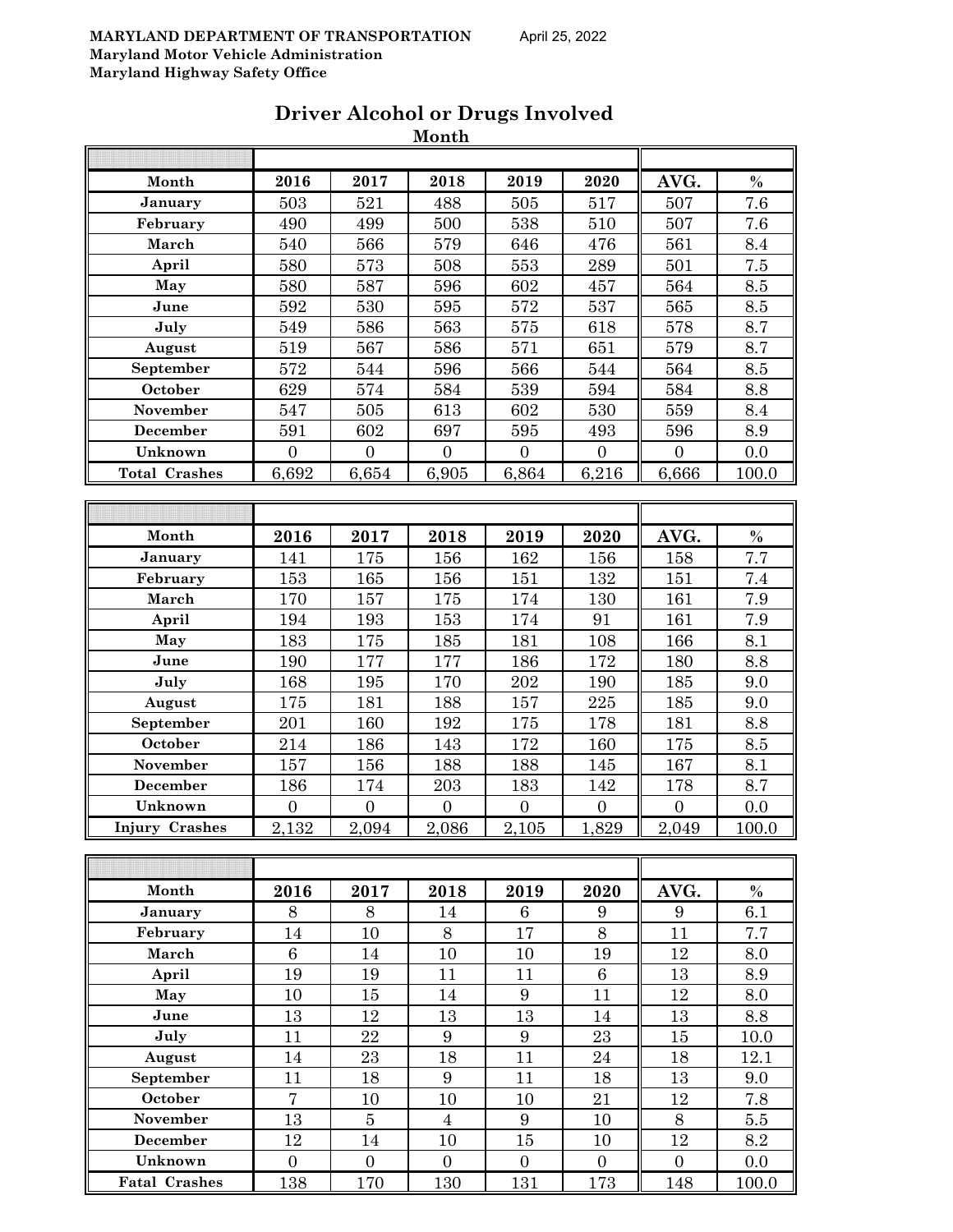|                      |                  |                  | Month            |                  |                  |                  |                  |
|----------------------|------------------|------------------|------------------|------------------|------------------|------------------|------------------|
|                      |                  |                  |                  |                  |                  |                  |                  |
| Month                | 2016             | 2017             | 2018             | 2019             | 2020             | AVG.             | $\%$             |
| January              | 503              | 521              | 488              | 505              | 517              | 507              | $\overline{7.6}$ |
| February             | 490              | 499              | 500              | 538              | 510              | 507              | 7.6              |
| March                | 540              | 566              | 579              | 646              | 476              | 561              | 8.4              |
| April                | 580              | 573              | 508              | 553              | 289              | 501              | 7.5              |
| May                  | 580              | 587              | 596              | 602              | 457              | 564              | 8.5              |
| June                 | 592              | 530              | 595              | 572              | 537              | 565              | $8.5\,$          |
| July                 | 549              | 586              | 563              | 575              | 618              | 578              | 8.7              |
| August               | 519              | 567              | 586              | 571              | 651              | 579              | 8.7              |
| September            | 572              | 544              | 596              | 566              | 544              | 564              | $8.5\,$          |
| October              | 629              | 574              | 584              | 539              | 594              | 584              | 8.8              |
| November             | 547              | 505              | 613              | 602              | 530              | 559              | 8.4              |
| December             | 591              | 602              | 697              | 595              | 493              | 596              | 8.9              |
| Unknown              | $\boldsymbol{0}$ | $\boldsymbol{0}$ | $\boldsymbol{0}$ | $\boldsymbol{0}$ | $\boldsymbol{0}$ | $\boldsymbol{0}$ | 0.0              |
| <b>Total Crashes</b> | 6,692            | 6,654            | 6,905            | 6,864            | 6,216            | 6,666            | 100.0            |
|                      |                  |                  |                  |                  |                  |                  |                  |
|                      |                  |                  |                  |                  |                  |                  |                  |
| Month                | 2016             | 2017             | 2018             | 2019             | 2020             | AVG.             | $\%$             |
| January              | 141              | 175              | 156              | 162              | 156              | 158              | 7.7              |
| February             | 153              | 165              | 156              | 151              | 132              | 151              | 7.4              |
| March                | 170              | 157              | 175              | 174              | 130              | 161              | 7.9              |
| April                | 194              | 193              | 153              | 174              | 91               | 161              | 7.9              |
| May                  | 183              | 175              | 185              | 181              | 108              | 166              | 8.1              |
| June                 | 190              | 177              | 177              | 186              | 172              | 180              | 8.8              |
| July                 | 168              | 195              | 170              | 202              | 190              | 185              | 9.0              |
| August               | 175              | 181              | 188              | 157              | 225              | 185              | 9.0              |
| September            | 201              | 160              | 192              | 175              | 178              | 181              | 8.8              |
| October              | 214              | 186              | 143              | 172              | 160              | 175              | 8.5              |
| November             | 157              | 156              | 188              | 188              | 145              | 167              | 8.1              |
| December             | 186              | 174              | 203              | 183              | 142              | 178              | 8.7              |
| Unknown              | $\boldsymbol{0}$ | $\boldsymbol{0}$ | $\boldsymbol{0}$ | $\boldsymbol{0}$ | $\boldsymbol{0}$ | $\boldsymbol{0}$ | 0.0              |
| Injury Crashes       | 2,132            | 2,094            | 2,086            | 2,105            | 1,829            | 2,049            | $100.0\,$        |
|                      |                  |                  |                  |                  |                  |                  |                  |
|                      |                  |                  |                  |                  |                  |                  |                  |
| Month                | 2016             | 2017             | 2018             | 2019             | 2020             | AVG.             | $\%$             |
| January              | 8                | 8                | 14               | 6                | 9                | 9                | 6.1              |
| February             | 14               | 10               | 8                | 17               | 8                | 11               | 7.7              |
| March                | $\boldsymbol{6}$ | 14               | 10               | 10               | 19               | 12               | 8.0              |
| April                | 19               | 19               | 11               | 11               | $\,6\,$          | 13               | 8.9              |
| May                  | 10               | 15               | 14               | 9                | 11               | 12               | 8.0              |
| June                 | 13               | 12               | 13               | 13               | 14               | 13               | 8.8              |
| July                 | 11               | 22               | $9\phantom{.0}$  | $\boldsymbol{9}$ | 23               | 15               | 10.0             |
| August               | 14               | 23               | 18               | 11               | 24               | 18               | 12.1             |
| September            | 11               | 18               | 9                | 11               | 18               | 13               | 9.0              |
| October              | $\overline{7}$   | 10               | 10               | 10               | 21               | 12               | 7.8              |
| November             | 13               | $\overline{5}$   | $\overline{4}$   | $\boldsymbol{9}$ | 10               | $8\,$            | 5.5              |
| December             | 12               | 14               | 10               | 15               | 10               | 12               | 8.2              |
| Unknown              | $\overline{0}$   | $\overline{0}$   | $\overline{0}$   | $\overline{0}$   | $\mathbf{0}$     | $\boldsymbol{0}$ | 0.0              |
| <b>Fatal Crashes</b> | 138              | 170              | 130              | 131              | 173              | 148              | 100.0            |

## **Driver Alcohol or Drugs Involved**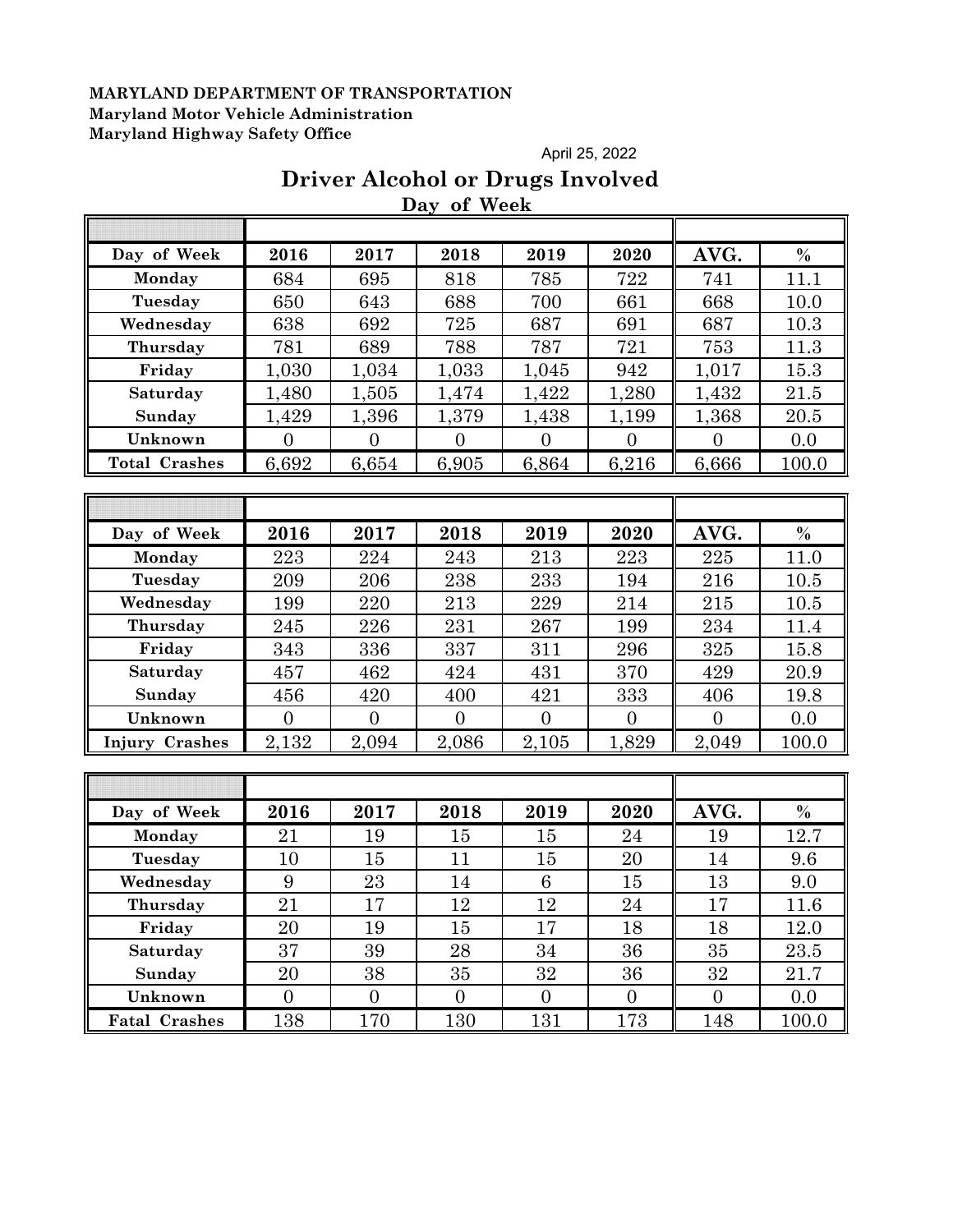#### April 25, 2022

## **Driver Alcohol or Drugs Involved Day of Week**

| Day of Week          | 2016             | 2017           | 2018           | 2019           | 2020           | AVG.           | $\frac{0}{0}$ |
|----------------------|------------------|----------------|----------------|----------------|----------------|----------------|---------------|
| Monday               | 684              | 695            | 818            | 785            | 722            | 741            | 11.1          |
| Tuesday              | 650              | 643            | 688            | 700            | 661            | 668            | 10.0          |
| Wednesday            | 638              | 692            | 725            | 687            | 691            | 687            | 10.3          |
| Thursday             | 781              | 689            | 788            | 787            | 721            | 753            | 11.3          |
| Friday               | 1,030            | 1,034          | 1,033          | 1,045          | 942            | 1,017          | 15.3          |
| Saturday             | 1,480            | 1,505          | 1,474          | 1,422          | 1,280          | 1,432          | 21.5          |
| Sunday               | 1,429            | 1,396          | 1,379          | 1,438          | 1,199          | 1,368          | 20.5          |
| Unknown              | $\overline{0}$   | $\overline{0}$ | $\overline{0}$ | $\overline{0}$ | $\overline{0}$ | $\overline{0}$ | 0.0           |
| <b>Total Crashes</b> | 6,692            | 6,654          | 6,905          | 6,864          | 6,216          | 6,666          | 100.0         |
|                      |                  |                |                |                |                |                |               |
|                      |                  |                |                |                |                |                |               |
| Day of Week          | 2016             | 2017           | 2018           | 2019           | 2020           | AVG.           | $\%$          |
| Monday               | 223              | 224            | 243            | 213            | 223            | 225            | 11.0          |
| Tuesday              | 209              | 206            | 238            | 233            | 194            | 216            | 10.5          |
| Wednesday            | 199              | 220            | 213            | 229            | 214            | 215            | 10.5          |
| Thursday             | 245              | 226            | 231            | 267            | 199            | 234            | 11.4          |
| Friday               | 343              | 336            | 337            | 311            | 296            | 325            | 15.8          |
| Saturday             | 457              | 462            | 424            | 431            | 370            | 429            | 20.9          |
| Sunday               | 456              | 420            | 400            | 421            | 333            | 406            | 19.8          |
| Unknown              | $\overline{0}$   | $\overline{0}$ | $\overline{0}$ | $\overline{0}$ | $\overline{0}$ | $\overline{0}$ | 0.0           |
| Injury Crashes       | 2,132            | 2,094          | 2,086          | 2,105          | 1,829          | 2,049          | 100.0         |
|                      |                  |                |                |                |                |                |               |
|                      |                  |                |                |                |                |                |               |
| Day of Week          | 2016             | 2017           | 2018           | 2019           | 2020           | AVG.           | $\%$          |
| Monday               | 21               | 19             | 15             | 15             | 24             | 19             | 12.7          |
| Tuesday              | 10               | 15             | 11             | 15             | 20             | 14             | 9.6           |
| Wednesday            | 9                | 23             | 14             | 6              | 15             | 13             | 9.0           |
| Thursday             | 21               | 17             | 12             | 12             | 24             | 17             | 11.6          |
| Friday               | 20               | 19             | 15             | 17             | 18             | 18             | 12.0          |
| Saturday             | 37               | 39             | 28             | 34             | 36             | 35             | 23.5          |
| Sunday               | $20\,$           | 38             | 35             | $32\,$         | 36             | 32             | 21.7          |
| Unknown              | $\boldsymbol{0}$ | $\overline{0}$ | $\overline{0}$ | $\overline{0}$ | $\mathbf{0}$   | $\overline{0}$ | 0.0           |
| <b>Fatal Crashes</b> | 138              | 170            | 130            | 131            | 173            | 148            | 100.0         |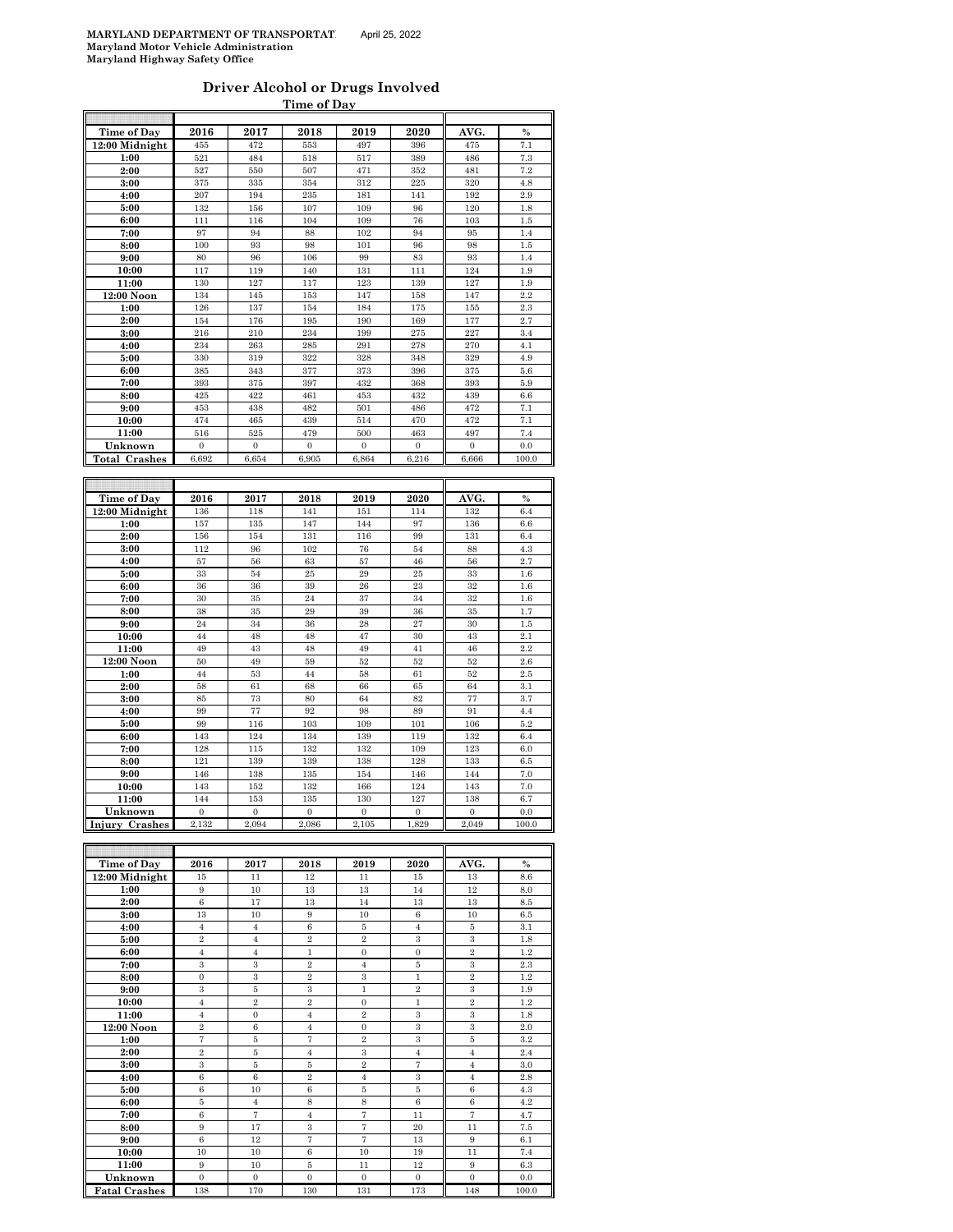#### **Driver Alcohol or Drugs Involved Time of Day**

| Time of Day                   | 2016             | 2017           | 2018             | 2019             | 2020       | AVG.             | $\frac{0}{0}$ |
|-------------------------------|------------------|----------------|------------------|------------------|------------|------------------|---------------|
| 12:00 Midnight                | 455              | 472            | 553              | 497              | 396        | 475              | 7.1           |
| 1:00                          | 521              | 484            | 518              | 517              | 389        | 486              | 7.3           |
|                               | 527              | 550            | 507              | 471              | 352        | 481              | 7.2           |
| 2:00                          |                  |                |                  |                  |            | 320              |               |
| 3:00                          | 375              | 335            | 354              | 312              | 225        |                  | 4.8           |
| 4:00                          | 207              | 194            | 235              | 181              | 141        | 192              | $_{2.9}$      |
| 5:00                          | 132              | 156            | 107              | 109              | 96         | 120              | 1.8           |
| 6:00                          | 111              | 116            | 104              | 109              | 76         | 103              | 1.5           |
| 7:00                          | 97               | 94             | 88               | 102              | 94         | 95               | 1.4           |
| 8:00                          | 100              | 93             | 98               | 101              | 96         | 98               | 1.5           |
| 9:00                          | 80               | 96             | 106              | 99               | 83         | 93               | 1.4           |
| 10:00                         | 117              | 119            | 140              | 131              | 111        | 124              | 1.9           |
| 11:00                         | 130              | 127            | 117              | 123              | 139        | 127              | 1.9           |
| 12:00 Noon                    | 134              | 145            | 153              | 147              | 158        | 147              | 2.2           |
| 1:00                          | 126              | 137            | 154              | 184              | 175        | 155              | 2.3           |
| 2:00                          | 154              | 176            | 195              | 190              | 169        | 177              | 2.7           |
| 3:00                          | 216              | 210            | 234              | 199              | 275        | 227              | 3.4           |
| 4:00                          | 234              | 263            | 285              | 291              | 278        | 270              | 4.1           |
| 5:00                          | 330              | 319            | 322              | 328              | 348        | 329              | 4.9           |
| 6:00                          | 385              | 343            | 377              | 373              | 396        | 375              | 5.6           |
| 7:00                          | 393              | 375            | 397              | 432              | 368        | 393              | 5.9           |
| 8:00                          | 425              | 422            | 461              | 453              | 432        | 439              | 6.6           |
| 9:00                          | 453              | 438            | 482              | 501              | 486        | 472              | 7.1           |
| 10:00                         | 474              | 465            | 439              | 514              | 470        | 472              | 7.1           |
| 11:00                         | 516              | 525            | 479              | 500              | 463        | 497              | 7.4           |
| Unknown                       | $\boldsymbol{0}$ | $\,0\,$        | $\boldsymbol{0}$ | $\boldsymbol{0}$ | $\,0\,$    | $\boldsymbol{0}$ | 0.0           |
| <b>Total Crashes</b>          | 6,692            | 6,654          | 6,905            | 6,864            | 6,216      | 6,666            | 100.0         |
|                               |                  |                |                  |                  |            |                  |               |
|                               |                  |                |                  |                  |            |                  |               |
| Time of Day                   | 2016             | 2017           | 2018             | 2019             | 2020       | AVG.             | $\%$          |
| 12:00 Midnight                | 136              | 118            | 141              |                  | 114        | 132              |               |
| 1:00                          | 157              | 135            | 147              | 151<br>144       | 97         | 136              | 6.4<br>6.6    |
|                               | 156              | 154            | 131              | 116              | 99         | 131              | 6.4           |
| 2:00                          |                  |                |                  | 76               |            |                  |               |
| 3:00                          | 112              | 96             | 102              |                  | 54         | 88               | 4.3           |
| 4:00                          | 57               | 56             | 63               | 57               | 46         | 56               | 2.7           |
| 5:00                          | 33               | 54             | 25               | 29               | 25         | 33               | 1.6           |
| 6:00                          | 36               | 36             | 39               | 26               | 23         | 32               | 1.6           |
| 7:00                          | 30               | 35             | 24               | 37               | 34         | 32               | 1.6           |
| 8:00                          | 38               | 35             | 29               | 39               | 36         | 35               | 1.7           |
| 9:00                          | 24               | 34             | 36               | 28               | 27         | 30               | 1.5           |
| 10:00                         | 44               | 48             | 48               | 47               | 30         | 43               | 2.1           |
| 11:00                         | 49               | 43             | 48               | 49               | 41         | 46               | 2.2           |
| 12:00 Noon                    | 50               | 49             | 59               | 52               | 52         | 52               | 2.6           |
| 1:00                          | 44               | 53             | 44               | 58               | 61         | 52               | 2.5           |
| 2:00                          | 58               | 61             | 68               | 66               | 65         | 64               | 3.1           |
| 3:00                          | 85               | 73             | 80               | 64               | 82         | 77               | 3.7           |
| 4:00                          | 99               | 77             | 92               | 98               | 89         | 91               | 4.4           |
| 5:00                          | 99               | 116            | 103              | 109              | 101        | 106              | 5.2           |
| 6:00                          | 143              | 124            | 134              | 139              | 119        | 132              | 6.4           |
| 7:00                          | 128              | 115            | 132              | 132              | 109        | 123              | 6.0           |
|                               |                  |                |                  |                  |            |                  | 6.5           |
| 8:00                          | 121              | 139            | 139              | 138              | 128        | 133              |               |
| 9:00                          | 146              | 138            | 135              | 154              | 146        | 144              | 7.0           |
| 10:00                         | 143              | 152            | 132              | 166              | 124        | 143              | 7.0           |
| 11:00                         | 144              | 153            | 135              | 130              | 127        | 138              | 6.7           |
| Unknown                       | $\Omega$         | $\overline{0}$ | $\theta$         | $\overline{0}$   | $\Omega$   | $\theta$         | 0.0           |
| Injury Crashes                | 2,132            | 2,094          | 2,086            | 2,105            | 1,829      | 2,049            | 100.0         |
|                               |                  |                |                  |                  |            |                  |               |
|                               |                  |                |                  |                  |            |                  |               |
|                               |                  |                |                  |                  |            |                  |               |
| Time of Day<br>12:00 Midnight | 2016<br>15       | 2017<br>11     | 2018<br>12       | 2019<br>11       | 2020<br>15 | AVG.<br>13       | $\%$<br>8.6   |

| Time of Day          | 40 I O         | 40 L I         | 4010           | 40 L J         | 4040             | Avu.           | 70    |
|----------------------|----------------|----------------|----------------|----------------|------------------|----------------|-------|
| 12:00 Midnight       | 15             | 11             | 12             | 11             | 15               | 13             | 8.6   |
| 1:00                 | 9              | 10             | 13             | 13             | 14               | 12             | 8.0   |
| 2:00                 | 6              | 17             | 13             | 14             | 13               | 13             | 8.5   |
| 3:00                 | 13             | 10             | 9              | 10             | 6                | 10             | 6.5   |
| 4:00                 | $\overline{4}$ | $\overline{4}$ | 6              | 5              | $\overline{4}$   | 5              | 3.1   |
| 5:00                 | $\,2\,$        | $\overline{4}$ | $\,2\,$        | $\overline{2}$ | 3                | $\,3$          | 1.8   |
| 6:00                 | $\overline{4}$ | $\overline{4}$ | $\mathbf{1}$   | $\mathbf{0}$   | $\mathbf{0}$     | $\overline{2}$ | 1.2   |
| 7:00                 | 3              | 3              | $\overline{2}$ | $\overline{4}$ | 5                | 3              | 2.3   |
| 8:00                 | $\mathbf{0}$   | 3              | $\overline{2}$ | 3              | $\mathbf{1}$     | $\overline{2}$ | 1.2   |
| 9:00                 | 3              | 5              | $\overline{3}$ | $\mathbf{1}$   | $\overline{2}$   | 3              | 1.9   |
| 10:00                | $\overline{4}$ | $\overline{2}$ | $\,2\,$        | $\Omega$       | $\mathbf{1}$     | $\,2\,$        | 1.2   |
| 11:00                | $\overline{4}$ | $\mathbf{0}$   | $\overline{4}$ | $\overline{2}$ | 3                | $\,3\,$        | 1.8   |
| 12:00 Noon           | $\overline{2}$ | $6\phantom{1}$ | $\overline{4}$ | $\Omega$       | 3                | 3              | 2.0   |
| 1:00                 | $\overline{7}$ | 5              | $\overline{7}$ | $\overline{2}$ | 3                | 5              | 3.2   |
| 2:00                 | $\overline{2}$ | 5              | $\overline{4}$ | 3              | $\overline{4}$   | $\overline{4}$ | 2.4   |
| 3:00                 | 3              | 5              | 5              | $\overline{2}$ | 7                | $\overline{4}$ | 3.0   |
| 4:00                 | 6              | $6\phantom{1}$ | $\overline{2}$ | $\overline{4}$ | $\boldsymbol{3}$ | $\overline{4}$ | 2.8   |
| 5:00                 | 6              | 10             | $6\phantom{1}$ | 5              | 5                | 6              | 4.3   |
| 6:00                 | 5              | $\overline{4}$ | 8              | 8              | 6                | 6              | 4.2   |
| 7:00                 | 6              | $\overline{7}$ | $\overline{4}$ | $\overline{7}$ | 11               | $\overline{7}$ | 4.7   |
| 8:00                 | 9              | 17             | $\,3$          | $\overline{7}$ | 20               | 11             | 7.5   |
| 9:00                 | 6              | 12             | $\overline{7}$ | $\overline{7}$ | 13               | 9              | 6.1   |
| 10:00                | 10             | 10             | 6              | 10             | 19               | 11             | 7.4   |
| 11:00                | 9              | 10             | 5              | 11             | 12               | 9              | 6.3   |
| Unknown              | $\Omega$       | $\Omega$       | $\Omega$       | $\Omega$       | $\Omega$         | $\Omega$       | 0.0   |
| <b>Fatal Crashes</b> | 138            | 170            | 130            | 131            | 173              | 148            | 100.0 |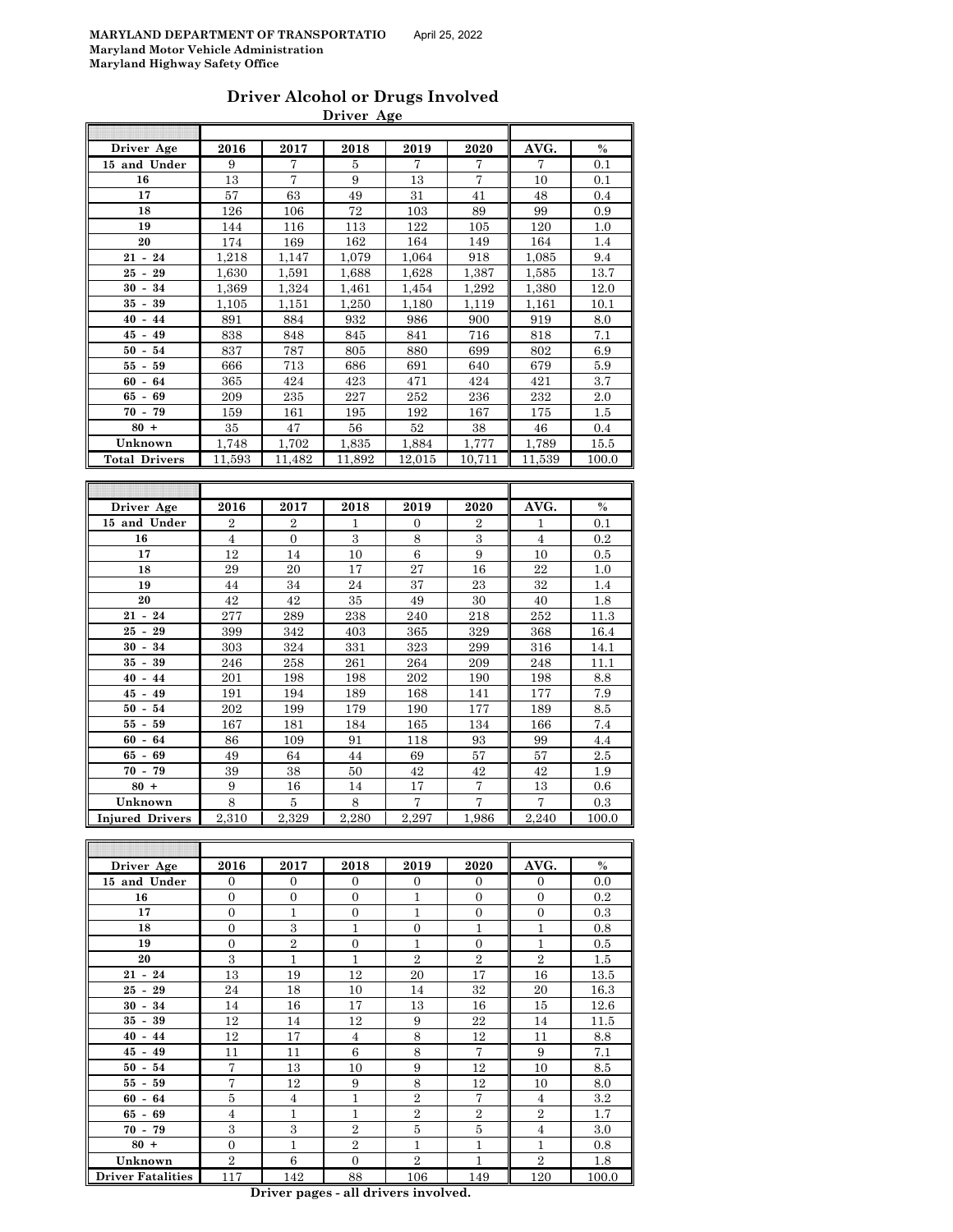| Driver Alcohol or Drugs Involved |  |
|----------------------------------|--|
| Driver Age                       |  |

| Driver Age                           | 2016              | 2017             | 2018           | 2019           | 2020             | AVG.              | %            |
|--------------------------------------|-------------------|------------------|----------------|----------------|------------------|-------------------|--------------|
| 15 and Under                         | 9                 | 7                | 5              | 7              | 7                | 7                 | 0.1          |
| 16                                   | 13                | 7                | 9              | 13             | 7                | 10                | 0.1          |
| 17                                   | 57                | 63               | 49             | 31             | 41               | 48                | 0.4          |
| 18                                   | 126               | 106              | 72             | 103            | 89               | 99                | 0.9          |
| 19                                   | 144               | 116              | 113            | 122            | 105              | 120               | $1.0\,$      |
| 20                                   | 174               | 169              | 162            | 164            | 149              | 164               | 1.4          |
| $21 - 24$                            | 1,218             | 1,147            | 1,079          | 1,064          | 918              | 1,085             | 9.4          |
| 29<br>25 -                           | 1,630             | 1,591            | 1,688          | 1,628          | 1,387            | 1,585             | 13.7         |
| 30<br>34<br>$\blacksquare$           | 1,369             | 1.324            | 1,461          | 1,454          | 1,292            | 1,380             | 12.0         |
| 35 -<br>39                           | 1,105             | 1,151            | 1,250          | 1,180          | 1,119            | 1,161             | 10.1         |
| 40<br>$-44$                          | 891               | 884              | 932            | 986            | 900              | 919               | 8.0          |
| 45<br>$-49$                          | 838               | 848              | 845            | 841            | 716              | 818               | 7.1          |
| 50<br>54<br>$\overline{\phantom{a}}$ | 837               | 787              | 805            | 880            | 699              | 802               | 6.9          |
| 59<br>55<br>$\overline{\phantom{a}}$ | 666               | 713              | 686            | 691            | 640              | 679               | 5.9          |
| 60<br>$\overline{\phantom{a}}$<br>64 | 365               | 424              | 423            | 471            | 424              | 421               | 3.7          |
| 65 -<br>69                           | 209               | 235              | 227            | 252            | 236              | 232               | $2.0\,$      |
| $70 - 79$                            | 159               | 161              | 195            | 192            | 167              | 175               | $1.5\,$      |
| $80 +$                               | 35                | 47               | 56             | 52             | 38               | 46                | 0.4          |
| Unknown                              | 1,748             | 1,702            | 1,835          | 1,884          | 1,777            | 1,789             | 15.5         |
| <b>Total Drivers</b>                 | 11,593            | 11,482           | 11,892         | 12,015         | 10,711           | 11,539            | 100.0        |
|                                      |                   |                  |                |                |                  |                   |              |
|                                      |                   |                  |                |                |                  |                   |              |
| Driver Age                           | 2016              | 2017             | 2018           | 2019           | 2020             | AVG.              | $\%$         |
| 15 and Under                         | $\overline{2}$    | $\overline{2}$   | 1              | 0              | $\boldsymbol{2}$ | 1                 | 0.1          |
| 16                                   | $\overline{4}$    | $\boldsymbol{0}$ | 3              | 8              | 3                | $\overline{4}$    | $0.2\,$      |
| 17                                   | 12                | 14               | 10             | 6              | 9                | 10                | $0.5\,$      |
| 18                                   | 29                | 20               | 17             | 27             | 16               | 22                | 1.0          |
| 19                                   | 44                | 34               | 24             | 37             | 23               | 32                | 1.4          |
| 20                                   | 42                | 42               | 35             | 49             | 30               | 40                | 1.8          |
| $21 - 24$<br>25                      | 277               | 289              | 238            | 240            | 218              | 252               | 11.3         |
| 29<br>$\overline{\phantom{a}}$       | 399               | 342              | 403            | 365            | 329              | 368               | 16.4         |
| $30 -$<br>34<br>$35 - 39$            | 303<br>246        | 324<br>258       | 331<br>261     | 323<br>264     | 299<br>209       | 316<br>248        | 14.1<br>11.1 |
| $40 - 44$                            | 201               | 198              | 198            | 202            | 190              |                   |              |
| 45 - 49                              | 191               | 194              | 189            | 168            | 141              | 198<br>177        | 8.8<br>7.9   |
| 50<br>$\overline{\phantom{a}}$<br>54 | 202               | 199              | 179            | 190            | 177              | 189               | 8.5          |
| 55<br>59<br>$\overline{\phantom{a}}$ | 167               | 181              | 184            | 165            | 134              | 166               | 7.4          |
| 64<br>$60 -$                         | 86                | 109              | 91             | 118            | 93               | 99                | 4.4          |
| 65 -<br>69                           | 49                | 64               | 44             | 69             | 57               | 57                | $2.5\,$      |
| $70 - 79$                            | 39                | 38               | 50             | 42             | 42               | 42                | $1.9\,$      |
| $80 +$                               | 9                 | 16               | 14             | 17             | 7                | 13                | $0.6\,$      |
| Unknown                              | 8                 | 5                | 8              | $\overline{7}$ | $\overline{7}$   | $\scriptstyle{7}$ | 0.3          |
| <b>Injured Drivers</b>               | 2,310             | 2,329            | 2,280          | 2,297          | 1,986            | 2,240             | 100.0        |
|                                      |                   |                  |                |                |                  |                   |              |
|                                      |                   |                  |                |                |                  |                   |              |
| Driver Age                           | 2016              | 2017             | 2018           | 2019           | 2020             | AVG.              | $\%$         |
| 15 and Under                         | 0                 | 0                | 0              | 0              | 0                | 0                 | 0.0          |
| 16                                   | 0                 | 0                | $\mathbf{0}$   | 1              | 0                | 0                 | $0.2\,$      |
| 17                                   | $\boldsymbol{0}$  | 1                | $\mathbf{0}$   | $\mathbf{1}$   | $\overline{0}$   | $\boldsymbol{0}$  | 0.3          |
| 18                                   | 0                 | $\,3$            | 1              | 0              | 1                | 1                 | 0.8          |
| 19                                   | $\overline{0}$    | $\overline{2}$   | $\overline{0}$ | $\mathbf{1}$   | $\overline{0}$   | $\mathbf{1}$      | $0.5\,$      |
| 20                                   | $\,3$             | $\mathbf 1$      | $\mathbf{1}$   | $\overline{2}$ | $\overline{2}$   | $\overline{2}$    | $1.5\,$      |
| $21 - 24$                            | 13                | 19               | 12             | 20             | 17               | 16                | 13.5         |
| $25 - 29$                            | 24                | 18               | 10             | 14             | 32               | $20\,$            | 16.3         |
| $30 - 34$                            | 14                | 16               | 17             | 13             | 16               | 15                | 12.6         |
| $35 - 39$                            | 12                | 14               | 12             | 9              | $\bf{22}$        | 14                | 11.5         |
| $40 - 44$                            | 12                | 17               | $\overline{4}$ | 8              | 12               | 11                | 8.8          |
| $45 - 49$                            | 11                | 11               | 6              | 8              | 7                | 9                 | 7.1          |
| $50 - 54$                            | 7                 | 13               | 10             | 9              | 12               | 10                | 8.5          |
| $55 - 59$                            | $\scriptstyle{7}$ | 12               | 9              | 8              | 12               | 10                | 8.0          |

**Driver Fatalities** 117 142 88 106 149 **Driver pages - all drivers involved.**

**60 - 64 5 4 1 2 7 1 4 4 3.2 65 - 69** 4 1 1 1 2 2 2 2 1.7 **70 - 79** | 3 | 3 | 2 | 5 | 5 | 4 | 3.0 **80 +** 0 1 2 1 1 1 0.8 **Unknown** 2 6 0 2 1 2 1.8<br> **EXECUTE:** 117 142 88 106 149 120 100.0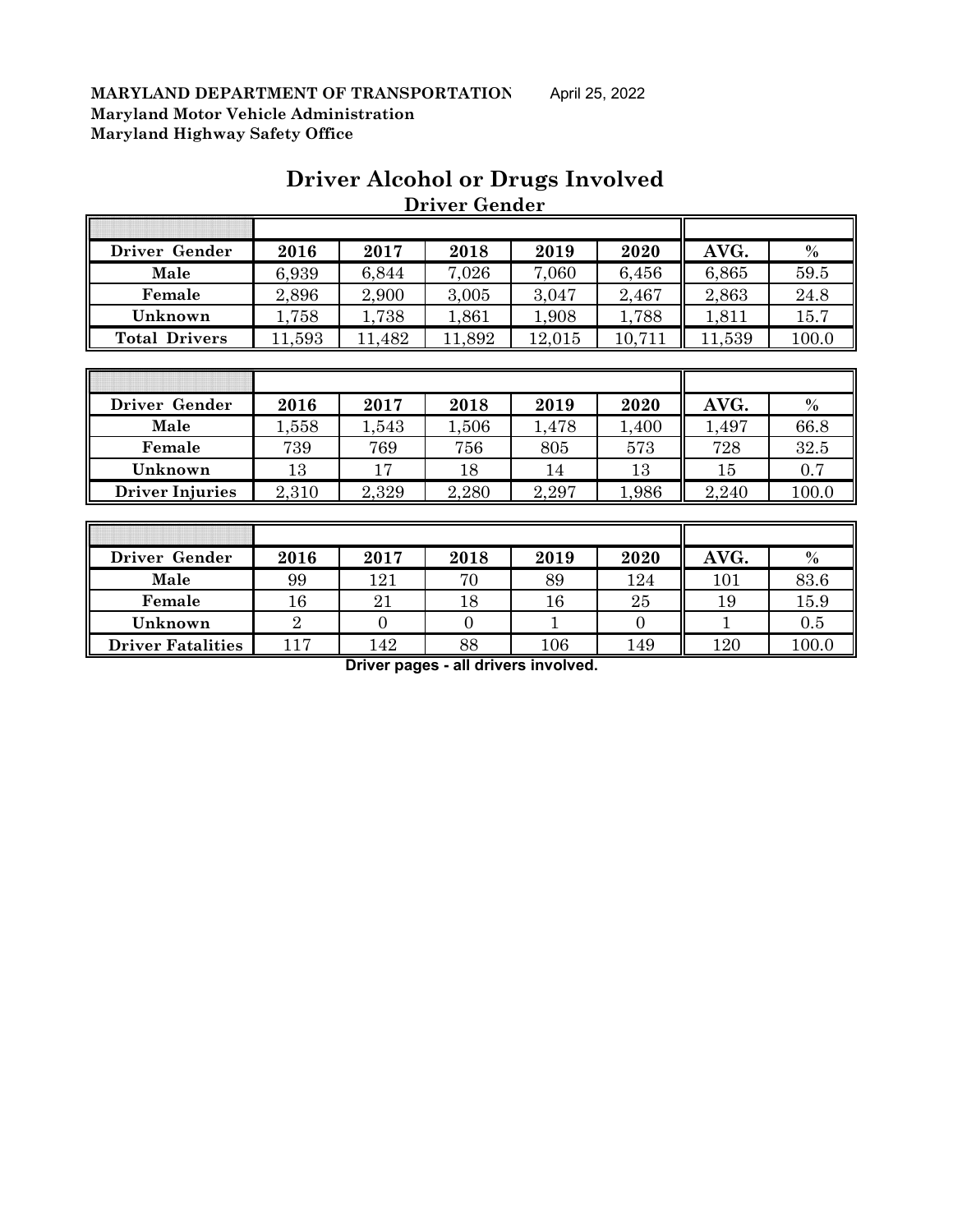## **Driver Alcohol or Drugs Involved Driver Gender**

| Driver Gender        | 2016  | 2017  | 2018   | 2019   | 2020   | AVG.   | $\%$  |
|----------------------|-------|-------|--------|--------|--------|--------|-------|
| Male                 | 6,939 | 6,844 | 7,026  | 7,060  | 6,456  | 6,865  | 59.5  |
| Female               | 2,896 | 2,900 | 3,005  | 3,047  | 2,467  | 2,863  | 24.8  |
| Unknown              | 1,758 | 1,738 | 1,861  | 1,908  | 1,788  | 1.811  | 15.7  |
| <b>Total Drivers</b> | ,593  | 482   | 11,892 | 12,015 | 10,711 | 11,539 | 100.0 |

| Driver Gender          | 2016   | 2017  | 2018  | 2019  | 2020  | AVG.   | $\frac{0}{0}$ |
|------------------------|--------|-------|-------|-------|-------|--------|---------------|
| Male                   | .558   | 1,543 | 1,506 | l,478 | 1,400 | ,497   | 66.8          |
| Female                 | 739    | 769   | 756   | 805   | 573   | 728    | 32.5          |
| Unknown                | $13\,$ |       | 18    | 14    | 13    | $15\,$ | 0.7           |
| <b>Driver Injuries</b> | 2,310  | 2,329 | 2,280 | 2,297 | .986  | 2,240  | 100.0         |

| Driver Gender            | 2016 | 2017 | 2018 | 2019    | 2020 | AVG. | $\%$  |
|--------------------------|------|------|------|---------|------|------|-------|
| Male                     | 99   | 121  | 70   | 89      | 124  | 101  | 83.6  |
| Female                   | 16   | 21   | 18   | 16      | 25   | 19   | 15.9  |
| Unknown                  |      |      |      |         |      |      | 0.5   |
| <b>Driver Fatalities</b> | 117  | 142  | 88   | $106\,$ | 149  | 120  | 100.0 |

**Driver pages - all drivers involved.**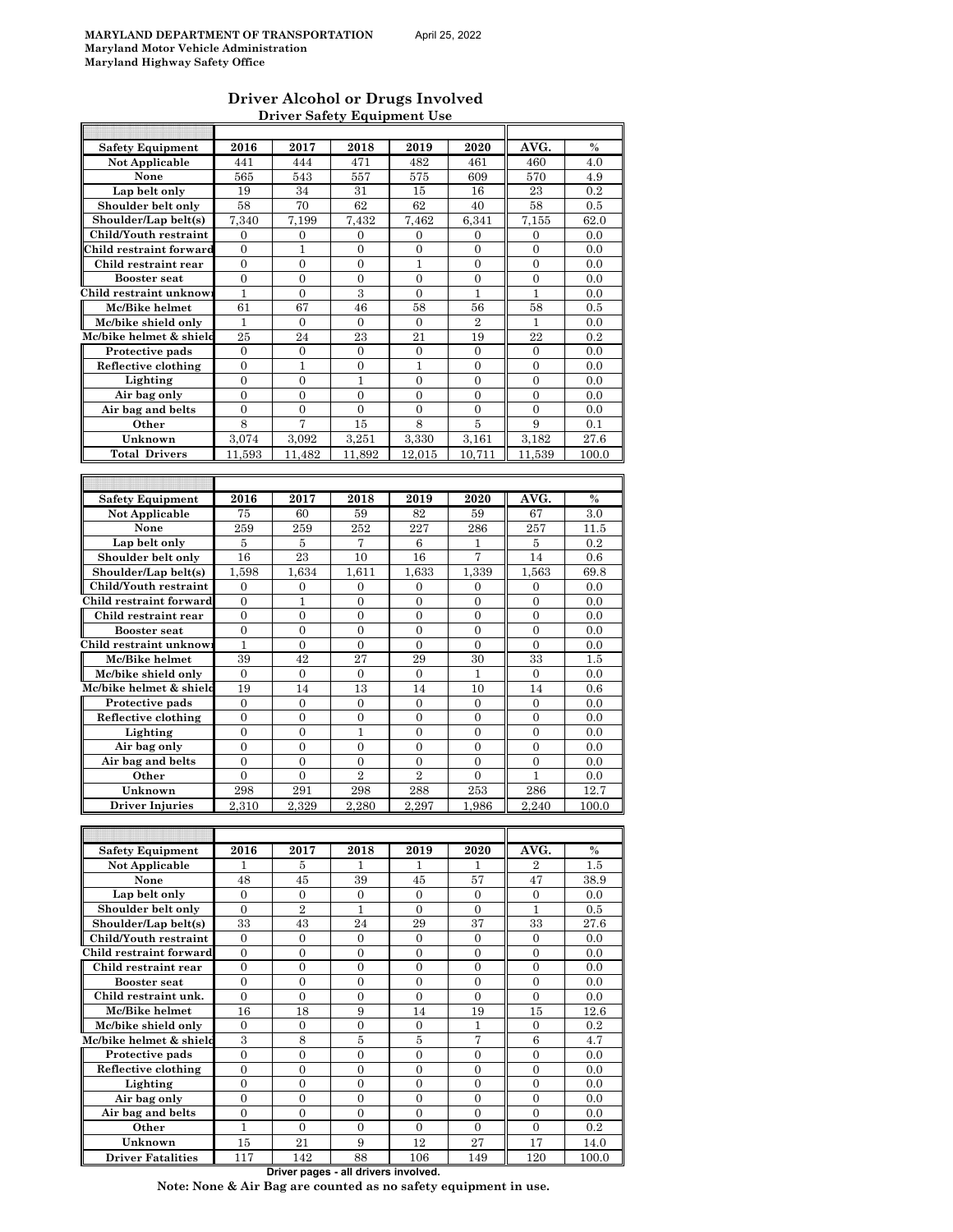#### **Driver Alcohol or Drugs Involved Driver Safety Equipment Use**

| <b>Safety Equipment</b>             | 2016             | 2017             | 2018             | 2019             | 2020             | AVG.             | $\%$          |
|-------------------------------------|------------------|------------------|------------------|------------------|------------------|------------------|---------------|
| Not Applicable                      | 441              | 444              | 471              | 482              | 461              | 460              | 4.0           |
|                                     |                  |                  |                  |                  |                  |                  |               |
| None                                | 565              | 543              | 557              | 575              | 609              | 570              | 4.9           |
| Lap belt only                       | 19               | 34               | 31               | 15               | 16               | 23               | 0.2           |
| Shoulder belt only                  | 58               | 70               | 62               | 62               | 40               | 58               | 0.5           |
| Shoulder/Lap belt(s)                | 7.340            | 7,199            | 7,432            | 7,462            | 6,341            | 7,155            | 62.0          |
| Child/Youth restraint               | 0                | $\boldsymbol{0}$ | 0                | 0                | 0                | 0                | 0.0           |
| Child restraint forward             | $\mathbf{0}$     | 1                | $\overline{0}$   | $\overline{0}$   | $\overline{0}$   | $\overline{0}$   | 0.0           |
|                                     |                  |                  |                  |                  |                  |                  |               |
| Child restraint rear                | $\overline{0}$   | $\overline{0}$   | $\overline{0}$   | $\mathbf{1}$     | $\boldsymbol{0}$ | $\boldsymbol{0}$ | 0.0           |
| <b>Booster</b> seat                 | $\mathbf{0}$     | $\overline{0}$   | $\overline{0}$   | $\overline{0}$   | $\overline{0}$   | $\overline{0}$   | 0.0           |
| Child restraint unknow              | $\mathbf{1}$     | $\overline{0}$   | 3                | $\overline{0}$   | $\mathbf{1}$     | $\mathbf{1}$     | 0.0           |
| Mc/Bike helmet                      | 61               | 67               | 46               | 58               | 56               | 58               | 0.5           |
| Mc/bike shield only                 | 1                | $\boldsymbol{0}$ | $\boldsymbol{0}$ | $\overline{0}$   | $\overline{2}$   | $\mathbf{1}$     | 0.0           |
| Mc/bike helmet & shield             | 25               | 24               | 23               | 21               | 19               | 22               | 0.2           |
|                                     |                  |                  |                  |                  |                  |                  |               |
| Protective pads                     | $\mathbf{0}$     | $\overline{0}$   | $\overline{0}$   | $\overline{0}$   | $\overline{0}$   | $\overline{0}$   | 0.0           |
| Reflective clothing                 | $\boldsymbol{0}$ | 1                | $\mathbf{0}$     | 1                | $\mathbf{0}$     | 0                | 0.0           |
| Lighting                            | $\overline{0}$   | $\overline{0}$   | $\mathbf{1}$     | $\overline{0}$   | $\overline{0}$   | $\overline{0}$   | 0.0           |
| Air bag only                        | $\mathbf{0}$     | $\mathbf{0}$     | $\overline{0}$   | $\overline{0}$   | $\overline{0}$   | $\boldsymbol{0}$ | 0.0           |
| Air bag and belts                   | $\mathbf{0}$     | $\overline{0}$   | $\overline{0}$   | $\overline{0}$   | $\overline{0}$   | $\overline{0}$   | 0.0           |
| Other                               | $\,$ 8 $\,$      | 7                | 15               | 8                | 5                | 9                | 0.1           |
|                                     |                  |                  |                  |                  |                  |                  |               |
| Unknown                             | 3.074            | 3.092            | 3,251            | 3,330            | 3,161            | 3.182            | 27.6          |
| <b>Total Drivers</b>                | 11,593           | 11.482           | 11.892           | 12,015           | 10.711           | 11,539           | 100.0         |
|                                     |                  |                  |                  |                  |                  |                  |               |
|                                     |                  |                  |                  |                  |                  |                  |               |
|                                     |                  |                  |                  |                  |                  |                  | $\%$          |
| <b>Safety Equipment</b>             | 2016             | 2017             | 2018             | 2019             | 2020             | AVG.             |               |
| <b>Not Applicable</b>               | 75               | 60               | 59               | 82               | 59               | 67               | 3.0           |
| None                                | 259              | 259              | 252              | 227              | 286              | 257              | 11.5          |
| Lap belt only                       | 5                | 5                | 7                | 6                | 1                | 5                | 0.2           |
| Shoulder belt only                  | 16               | 23               | 10               | 16               | 7                | 14               | 0.6           |
| Shoulder/Lap belt(s)                | 1,598            | 1,634            | 1,611            | 1,633            | 1,339            | 1.563            | 69.8          |
|                                     |                  |                  |                  |                  |                  |                  |               |
| Child/Youth restraint               | $\mathbf{0}$     | $\mathbf{0}$     | $\overline{0}$   | $\overline{0}$   | $\mathbf{0}$     | $\overline{0}$   | 0.0           |
| Child restraint forward             | $\mathbf{0}$     | $\mathbf{1}$     | $\overline{0}$   | $\overline{0}$   | $\overline{0}$   | $\overline{0}$   | 0.0           |
| Child restraint rear                | $\mathbf{0}$     | $\boldsymbol{0}$ | 0                | $\boldsymbol{0}$ | $\boldsymbol{0}$ | $\boldsymbol{0}$ | 0.0           |
| <b>Booster seat</b>                 | 0                | $\overline{0}$   | $\boldsymbol{0}$ | $\overline{0}$   | $\overline{0}$   | $\boldsymbol{0}$ | 0.0           |
| Child restraint unknow              | 1                | $\boldsymbol{0}$ | $\boldsymbol{0}$ | $\mathbf{0}$     | $\mathbf{0}$     | $\boldsymbol{0}$ | 0.0           |
| Mc/Bike helmet                      | 39               | 42               | 27               | 29               | 30               | 33               | 1.5           |
|                                     |                  |                  |                  |                  |                  |                  |               |
| Mc/bike shield only                 | $\mathbf{0}$     | $\boldsymbol{0}$ | $\boldsymbol{0}$ | $\boldsymbol{0}$ | 1                | $\mathbf{0}$     | 0.0           |
| Mc/bike helmet & shield             | 19               | 14               | 13               | 14               | 10               | 14               | 0.6           |
| Protective pads                     | $\boldsymbol{0}$ | $\boldsymbol{0}$ | 0                | 0                | $\mathbf{0}$     | 0                | 0.0           |
| Reflective clothing                 | $\overline{0}$   | $\overline{0}$   | $\overline{0}$   | $\overline{0}$   | $\overline{0}$   | $\overline{0}$   | 0.0           |
| Lighting                            | $\overline{0}$   | $\overline{0}$   | $\mathbf{1}$     | $\overline{0}$   | $\boldsymbol{0}$ | $\overline{0}$   | 0.0           |
|                                     |                  |                  |                  |                  |                  |                  |               |
| Air bag only                        | $\boldsymbol{0}$ | $\boldsymbol{0}$ | 0                | $\overline{0}$   | $\overline{0}$   | $\overline{0}$   | 0.0           |
| Air bag and belts                   | $\boldsymbol{0}$ | $\overline{0}$   | 0                | $\boldsymbol{0}$ | $\overline{0}$   | $\boldsymbol{0}$ | 0.0           |
| Other                               | $\boldsymbol{0}$ | $\boldsymbol{0}$ | $\overline{2}$   | $\overline{2}$   | $\overline{0}$   | 1                | 0.0           |
| Unknown                             | 298              | 291              | 298              | 288              | 253              | 286              | 12.7          |
|                                     |                  | 2.329            |                  |                  |                  |                  |               |
| <b>Driver Injuries</b>              | 2,310            |                  | 2,280            | 2,297            | 1,986            | 2,240            | 100.0         |
|                                     |                  |                  |                  |                  |                  |                  |               |
|                                     |                  |                  |                  |                  |                  |                  |               |
| <b>Safety Equipment</b>             | 2016             | 2017             | 2018             | 2019             | 2020             | AVG.             | $\%$          |
| Not Applicable                      | 1                | 5                | 1                | L                | 1                | 2                | 1.5           |
| None                                | 48               | 45               | $39\,$           | 45               | 57               | 47               | 38.9          |
|                                     |                  |                  |                  |                  |                  |                  |               |
| Lap belt only                       | $\overline{0}$   | $\overline{0}$   | $\mathbf{0}$     | $\mathbf{0}$     | $\overline{0}$   | $\overline{0}$   | 0.0           |
| Shoulder belt only                  | $\boldsymbol{0}$ | $\overline{2}$   | $\mathbf{1}$     | $\boldsymbol{0}$ | $\mathbf{0}$     | $\mathbf{1}$     | 0.5           |
| Shoulder/Lap belt(s)                | 33               | 43               | 24               | 29               | 37               | 33               | 27.6          |
| Child/Youth restraint               | $\boldsymbol{0}$ | $\boldsymbol{0}$ | 0                | $\boldsymbol{0}$ | $\boldsymbol{0}$ | $\boldsymbol{0}$ | 0.0           |
| Child restraint forward             | 0                | 0                | 0                | $\boldsymbol{0}$ | $\boldsymbol{0}$ | $\boldsymbol{0}$ | 0.0           |
| Child restraint rear                | $\overline{0}$   | $\mathbf{0}$     | $\overline{0}$   | $\overline{0}$   | $\overline{0}$   | $\overline{0}$   | 0.0           |
|                                     |                  |                  |                  |                  |                  |                  |               |
| <b>Booster seat</b>                 | $\boldsymbol{0}$ | $\boldsymbol{0}$ | $\boldsymbol{0}$ | $\boldsymbol{0}$ | 0                | $\boldsymbol{0}$ | 0.0           |
| Child restraint unk.                | $\overline{0}$   | $\mathbf{0}$     | $\boldsymbol{0}$ | $\overline{0}$   | $\overline{0}$   | $\boldsymbol{0}$ | 0.0           |
| Mc/Bike helmet                      | 16               | 18               | 9                | 14               | 19               | 15               | 12.6          |
| Mc/bike shield only                 | $\mathbf{0}$     | $\mathbf{0}$     | $\overline{0}$   | $\overline{0}$   | 1                | $\mathbf{0}$     | 0.2           |
| Mc/bike helmet & shield             |                  | 8                | $\bf 5$          | 5                | 7                | $\,6$            | 4.7           |
|                                     |                  |                  |                  |                  |                  |                  |               |
|                                     | $\,3$            |                  |                  |                  |                  |                  |               |
| Protective pads                     | $\boldsymbol{0}$ | $\boldsymbol{0}$ | $\boldsymbol{0}$ | $\boldsymbol{0}$ | $\boldsymbol{0}$ | $\boldsymbol{0}$ | 0.0           |
| Reflective clothing                 | $\boldsymbol{0}$ | $\boldsymbol{0}$ | $\boldsymbol{0}$ | $\boldsymbol{0}$ | $\boldsymbol{0}$ | $\boldsymbol{0}$ | 0.0           |
| Lighting                            | $\boldsymbol{0}$ | $\boldsymbol{0}$ | $\boldsymbol{0}$ | $\boldsymbol{0}$ | $\boldsymbol{0}$ | $\boldsymbol{0}$ | 0.0           |
|                                     | $\mathbf{0}$     | $\mathbf{0}$     | $\overline{0}$   | $\overline{0}$   | $\overline{0}$   | $\overline{0}$   | 0.0           |
| Air bag only                        |                  |                  |                  |                  |                  |                  |               |
| Air bag and belts                   | $\boldsymbol{0}$ | $\boldsymbol{0}$ | $\boldsymbol{0}$ | $\overline{0}$   | $\boldsymbol{0}$ | $\boldsymbol{0}$ | 0.0           |
| Other                               | $\mathbf{1}$     | $\overline{0}$   | $\overline{0}$   | $\overline{0}$   | $\overline{0}$   | $\boldsymbol{0}$ | 0.2           |
| Unknown<br><b>Driver Fatalities</b> | 15<br>117        | 21<br>142        | 9<br>88          | 12<br>106        | 27<br>149        | 17<br>120        | 14.0<br>100.0 |

**Driver pages - all drivers involved.**

**Note: None & Air Bag are counted as no safety equipment in use.**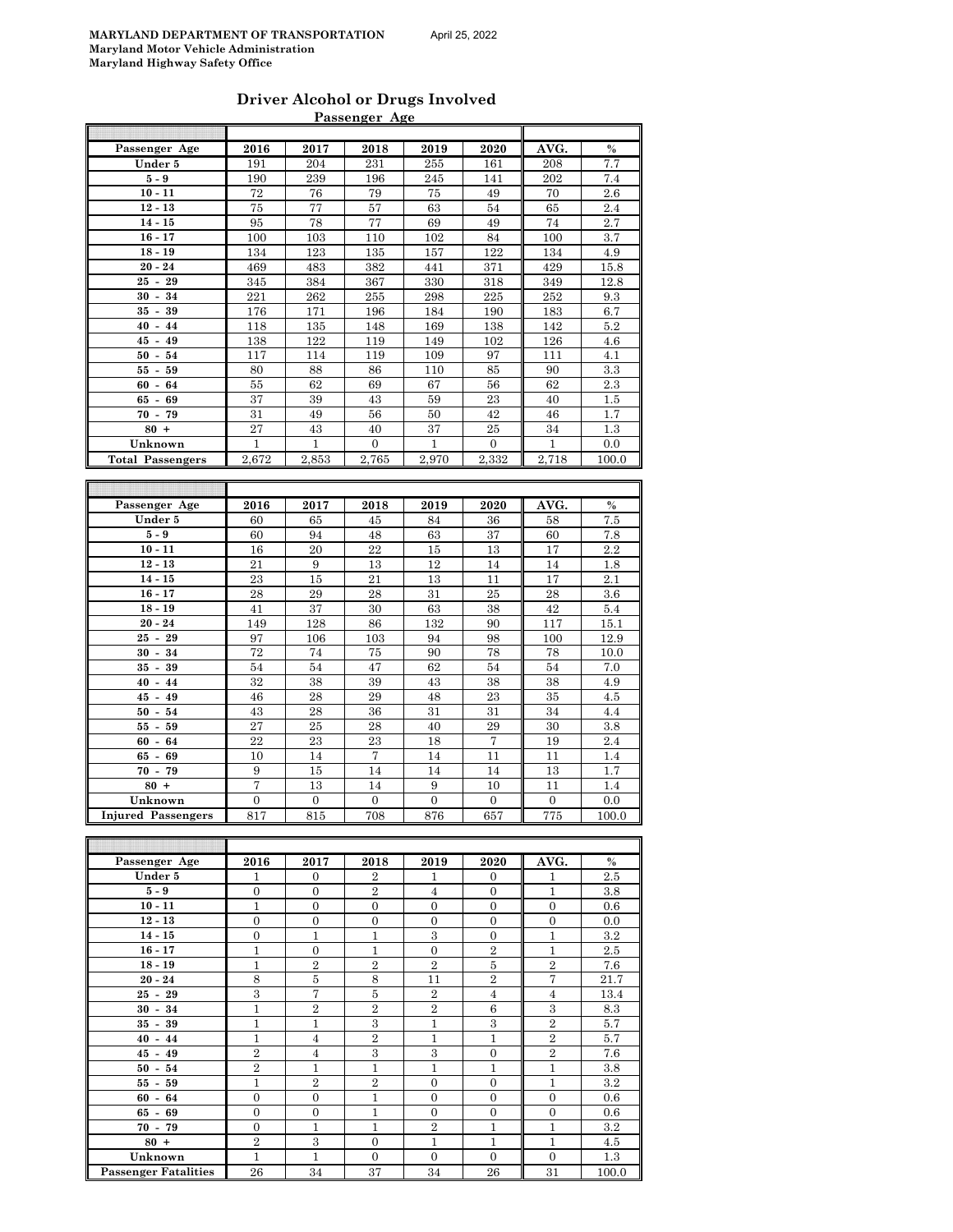|  | April 25. 2022 |
|--|----------------|
|  |                |

| Driver Alcohol or Drugs Involved |  |
|----------------------------------|--|
| Passenger Age                    |  |

|                           |                  |                  | <u>Passenger Age</u> |                  |                  |                  |               |
|---------------------------|------------------|------------------|----------------------|------------------|------------------|------------------|---------------|
|                           |                  |                  |                      |                  |                  |                  |               |
| Passenger Age             | 2016             | 2017             | 2018                 | 2019             | 2020             | AVG.             | $\%$          |
| Under 5                   | 191              | 204              | 231                  | 255              | 161              | 208              | 7.7           |
| $5-9$                     | 190              | 239              | 196                  | 245              | 141              | 202              | 7.4           |
| $10 - 11$                 | 72               | 76               | 79                   | 75               | 49               | 70               | 2.6           |
| $12 - 13$                 | 75               | 77               | 57                   | 63               | 54               | 65               | 2.4           |
| $14 - 15$                 | 95               | 78               | 77                   | 69               | 49               | $74\,$           | 2.7           |
| $16 - 17$                 | 100              | 103              | 110                  | 102              | 84               | 100              | 3.7           |
| $18 - 19$                 | 134              | 123              | 135                  | 157              | 122              | 134              | 4.9           |
| $20 - 24$                 | 469              | 483              | 382                  | 441              | 371              | 429              | 15.8          |
| $25 - 29$                 | 345              | 384              | 367                  | 330              | 318              | 349              | 12.8          |
| $30 - 34$                 | $\bf 221$        | 262              | 255                  | 298              | $\bf 225$        | 252              | $9.3\,$       |
| $35 - 39$                 | 176              | 171              | 196                  | 184              | 190              | 183              | 6.7           |
| $40 - 44$                 | 118              | 135              | 148                  | 169              | 138              | 142              | 5.2           |
| $45 - 49$                 | 138              | 122              | 119                  | 149              | 102              | 126              | 4.6           |
| $50 - 54$                 | 117              | 114              | 119                  | 109              | 97               | 111              | 4.1           |
| $55 - 59$                 | 80               | 88               | 86                   | 110              | 85               | 90               | 3.3           |
|                           |                  |                  |                      |                  |                  | 62               | 2.3           |
| $60 - 64$                 | 55               | 62               | 69                   | 67               | 56               |                  |               |
| $65 - 69$                 | 37               | 39               | 43                   | 59               | 23               | 40               | 1.5           |
| $70 - 79$                 | 31               | 49               | 56                   | 50               | 42               | 46               | 1.7           |
| $80 +$                    | 27               | 43               | 40                   | 37               | 25               | 34               | 1.3           |
| Unknown                   | $\mathbf{1}$     | 1                | $\mathbf{0}$         | 1                | 0                | 1                | 0.0           |
| <b>Total Passengers</b>   | 2,672            | 2,853            | 2,765                | 2,970            | 2,332            | 2,718            | 100.0         |
|                           |                  |                  |                      |                  |                  |                  |               |
|                           |                  |                  |                      |                  |                  |                  |               |
| Passenger Age             | 2016             | 2017             | 2018                 | 2019             | 2020             | AVG.             | $\frac{0}{0}$ |
| Under 5                   | 60               | 65               | 45                   | 84               | 36               | 58               | 7.5           |
| $5-9$                     | 60               | 94               | 48                   | 63               | 37               | 60               | 7.8           |
| $10 - 11$                 | 16               | 20               | 22                   | $15\,$           | 13               | 17               | 2.2           |
| $12 - 13$                 | 21               | 9                | 13                   | 12               | 14               | 14               | 1.8           |
| $14 - 15$                 | 23               | 15               | 21                   | 13               | 11               | 17               | 2.1           |
|                           | 28               | 29               | 28                   | 31               | 25               | 28               | 3.6           |
| $16 - 17$                 |                  |                  |                      |                  |                  |                  |               |
| $18 - 19$                 | 41               | 37               | 30                   | 63               | 38               | 42               | 5.4           |
| $20 - 24$                 | 149              | 128              | 86                   | 132              | 90               | 117              | 15.1          |
| $25 - 29$                 | 97               | 106              | 103                  | 94               | 98               | 100              | 12.9          |
| $30 - 34$                 | 72               | 74               | 75                   | 90               | 78               | 78               | 10.0          |
| $35 - 39$                 | 54               | 54               | 47                   | 62               | 54               | 54               | 7.0           |
| $40 - 44$                 | 32               | 38               | 39                   | 43               | 38               | 38               | 4.9           |
| $45 - 49$                 | 46               | 28               | 29                   | 48               | 23               | 35               | 4.5           |
| $50 - 54$                 | 43               | 28               | 36                   | 31               | 31               | 34               | 4.4           |
| $55 - 59$                 | 27               | 25               | 28                   | 40               | 29               | 30               | $3.8\,$       |
| $60 - 64$                 | 22               | 23               | 23                   | 18               | 7                | 19               | 2.4           |
| $65 - 69$                 | 10               | 14               | 7                    | 14               | 11               | 11               | 1.4           |
| $70 - 79$                 | 9                | 15               | 14                   | 14               | 14               | 13               | 1.7           |
| $80 +$                    | 7                | 13               | 14                   | 9                | 10               | 11               | 1.4           |
| Unknown                   | $\boldsymbol{0}$ | $\boldsymbol{0}$ | $\boldsymbol{0}$     | $\boldsymbol{0}$ | $\boldsymbol{0}$ | $\boldsymbol{0}$ | 0.0           |
| <b>Injured Passengers</b> | 817              | 815              | 708                  | 876              | 657              | 775              | 100.0         |
|                           |                  |                  |                      |                  |                  |                  |               |
|                           |                  |                  |                      |                  |                  |                  |               |
|                           |                  |                  |                      |                  |                  |                  |               |
| Passenger Age             | 2016             | 2017             | 2018                 | 2019             | 2020             | AVG.             | $\%$          |
| Under 5                   | 1                | 0                | 2                    | 1                | $\overline{0}$   | 1                | 2.5           |
| $5-9$                     | $\boldsymbol{0}$ | $\boldsymbol{0}$ | $\overline{2}$       | $\overline{4}$   | $\mathbf{0}$     | 1                | 3.8           |
| $10 - 11$                 | $\mathbf{1}$     | $\overline{0}$   | $\mathbf{0}$         | $\mathbf{0}$     | $\boldsymbol{0}$ | $\boldsymbol{0}$ | 0.6           |
| $12 - 13$                 | $\boldsymbol{0}$ | 0                | $\boldsymbol{0}$     | $\boldsymbol{0}$ | $\mathbf{0}$     | $\boldsymbol{0}$ | 0.0           |
| $14 - 15$                 | $\boldsymbol{0}$ | $\mathbf{1}$     | $\mathbf{1}$         | 3                | $\overline{0}$   | 1                | 3.2           |
| $16 - 17$                 | $\mathbf{1}$     | $\boldsymbol{0}$ | 1                    | $\mathbf{0}$     | $\,2$            | 1                | 2.5           |
| $18 - 19$                 | $\mathbf{1}$     | $\overline{2}$   | $\overline{2}$       | $\overline{2}$   | $\bf 5$          | $\overline{2}$   | 7.6           |
| $20 - 24$                 | 8                | $\bf 5$          | $\,8\,$              | $^{11}$          | $\overline{2}$   | 7                | 21.7          |
| $25 - 29$                 | 3                | 7                | 5                    | $\overline{2}$   | $\overline{4}$   | $\overline{4}$   | 13.4          |
| $30 - 34$                 | $\mathbf{1}$     | $\overline{2}$   | $\sqrt{2}$           | $\sqrt{2}$       | $\,6$            | $\,3$            | 8.3           |
|                           |                  |                  |                      |                  | $\sqrt{3}$       |                  |               |
| $35 - 39$                 | $\mathbf{1}$     | $\mathbf{1}$     | 3                    | $\mathbf 1$      |                  | $\overline{2}$   | 5.7           |
| $40 - 44$                 | $\mathbf{1}$     | $\overline{4}$   | $\,2$                | $\mathbf{1}$     | $\mathbf{1}$     | $\overline{2}$   | 5.7           |
| $45 - 49$                 | $\overline{2}$   | $\overline{4}$   | $\boldsymbol{3}$     | $\,3$            | $\boldsymbol{0}$ | $\overline{2}$   | 7.6           |

**50 - 54** 2 1 1 1 1 1 1 3.8 **55 - 59** 1 2 2 0 0 1 3.2 **60 - 64** 0 0 0 1 0 0 0 0.6 **65 - 69** 0 0 0 1 0 0 0 0 0.6 **70 - 79** 0 0 1 1 1 2 1 1 1 3.2 **80 + | 2** | 3 | 0 | 1 | 1 | 1 | 4.5 **Unknown** 1 1 0 0 1 1 1 4.5<br> **Unknown** 1 1 0 0 0 0 1.3<br> **Example:** Tatalities 26 34 37 34 26 31 100.0

**Passenger Fatalities**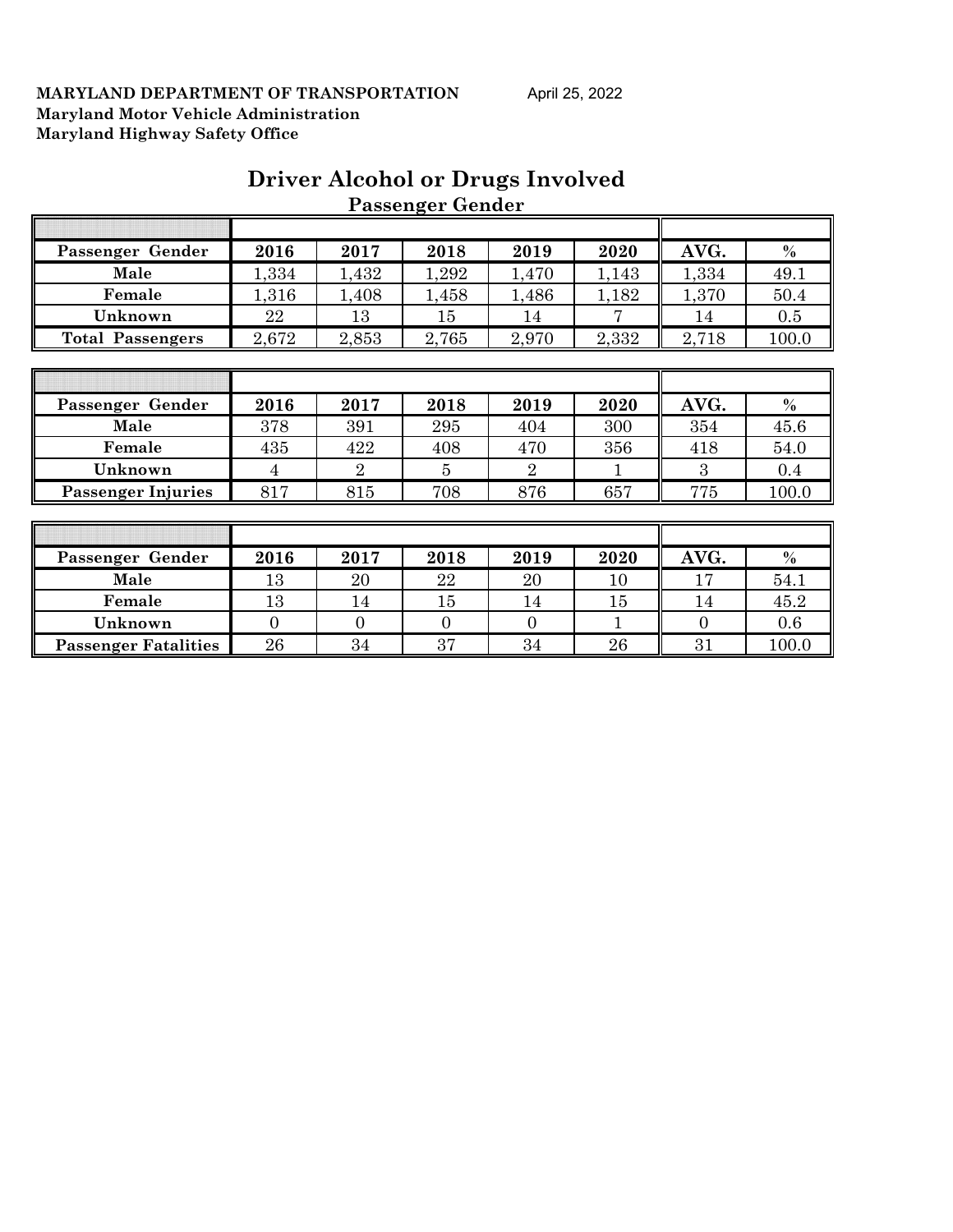|                           |       |                | <b>Passenger Gender</b> |                |              |       |       |
|---------------------------|-------|----------------|-------------------------|----------------|--------------|-------|-------|
|                           |       |                |                         |                |              |       |       |
| Passenger Gender          | 2016  | 2017           | 2018                    | 2019           | 2020         | AVG.  | $\%$  |
| Male                      | 1,334 | 1,432          | 1,292                   | 1,470          | 1,143        | 1,334 | 49.1  |
| Female                    | 1,316 | 1,408          | 1,458                   | 1,486          | 1,182        | 1,370 | 50.4  |
| Unknown                   | 22    | 13             | 15                      | 14             | 7            | 14    | 0.5   |
| <b>Total Passengers</b>   | 2,672 | 2,853          | 2,765                   | 2,970          | 2,332        | 2,718 | 100.0 |
|                           |       |                |                         |                |              |       |       |
|                           |       |                |                         |                |              |       |       |
|                           | 2016  | 2017           | 2018                    | 2019           | 2020         | AVG.  | $\%$  |
| Passenger Gender          |       |                |                         |                |              |       |       |
| Male                      | 378   | 391            | 295                     | 404            | 300          | 354   | 45.6  |
| Female                    | 435   | 422            | 408                     | 470            | 356          | 418   | 54.0  |
| Unknown                   | 4     | $\overline{2}$ | 5                       | $\overline{2}$ | $\mathbf{1}$ | 3     | 0.4   |
| <b>Passenger Injuries</b> | 817   | 815            | 708                     | 876            | 657          | 775   | 100.0 |
|                           |       |                |                         |                |              |       |       |
|                           |       |                |                         |                |              |       |       |
| Passenger Gender          | 2016  | 2017           | 2018                    | 2019           | 2020         | AVG.  | $\%$  |

**Female** 13 14 15 14 15 14 15 14 15 **Unknown** 0 0 0 0 0 1 0 0 0.6 **Passenger Fatalities** 26 34 37 34 26 31 100.0

# **Driver Alcohol or Drugs Involved**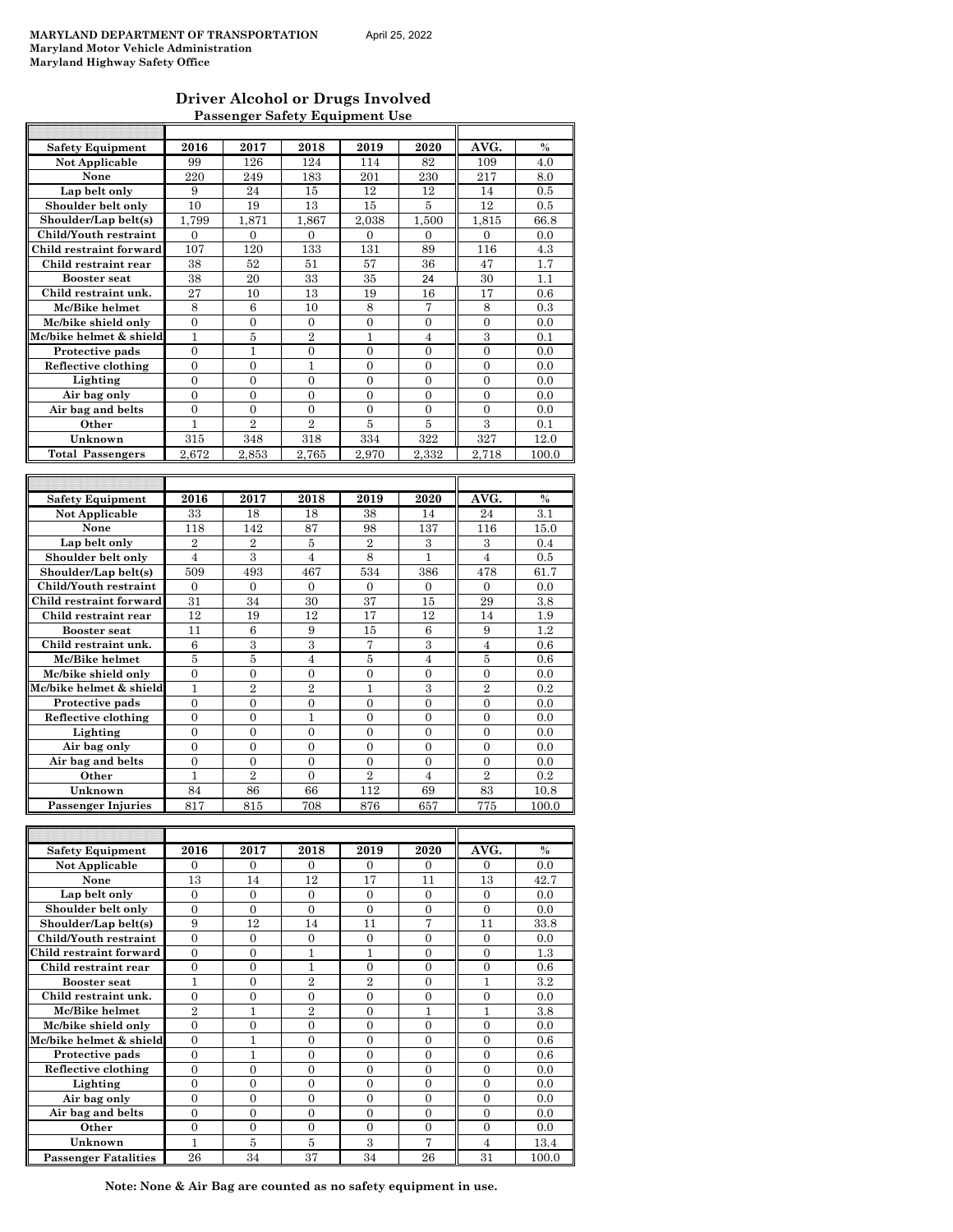#### **Driver Alcohol or Drugs Involved Passenger Safety Equipment Use**

| <b>Safety Equipment</b>   | 2016             | 2017             | 2018             | 2019             | 2020             | AVG.             | $\frac{0}{0}$ |
|---------------------------|------------------|------------------|------------------|------------------|------------------|------------------|---------------|
| Not Applicable            | 99               | 126              | 124              | 114              | 82               | 109              | 4.0           |
| None                      | 220              | 249              | 183              | 201              | 230              | 217              | 8.0           |
| Lap belt only             | 9                | 24               | 15               | 12               | 12               | 14               | 0.5           |
| Shoulder belt only        | 10               | 19               | 13               | 15               | 5                | 12               | 0.5           |
| Shoulder/Lap belt(s)      | 1.799            | 1,871            | 1,867            | 2.038            | 1,500            | 1,815            | 66.8          |
| Child/Youth restraint     | $\mathbf{0}$     | 0                | 0                | $\boldsymbol{0}$ | $\mathbf{0}$     | 0                | 0.0           |
| Child restraint forward   | 107              | 120              | 133              | 131              | 89               | 116              | 4.3           |
| Child restraint rear      | 38               | 52               | 51               | 57               | 36               | 47               | 1.7           |
| <b>Booster seat</b>       | 38               | 20               | 33               | 35               | 24               | 30               | 1.1           |
| Child restraint unk.      | 27               | 10               | 13               | 19               | 16               | 17               | 0.6           |
| Mc/Bike helmet            | 8                | 6                | 10               | 8                | 7                | 8                | 0.3           |
| Mc/bike shield only       | $\mathbf{0}$     | $\overline{0}$   | $\overline{0}$   | $\overline{0}$   | $\mathbf{0}$     | $\overline{0}$   | 0.0           |
| Mc/bike helmet & shield   | 1                | 5                | $\overline{2}$   | 1                | 4                | 3                | 0.1           |
| Protective pads           | $\mathbf{0}$     | $\mathbf{1}$     | $\overline{0}$   | $\overline{0}$   | $\mathbf{0}$     | $\overline{0}$   | 0.0           |
| Reflective clothing       | $\overline{0}$   | $\mathbf{0}$     | 1                | 0                | $\mathbf{0}$     | $\mathbf{0}$     | 0.0           |
| Lighting                  | $\mathbf{0}$     | $\mathbf{0}$     | $\overline{0}$   | $\overline{0}$   | $\mathbf{0}$     | $\overline{0}$   | 0.0           |
| Air bag only              | $\overline{0}$   | $\overline{0}$   | $\overline{0}$   | $\overline{0}$   | $\mathbf{0}$     | $\overline{0}$   | 0.0           |
| Air bag and belts         | $\overline{0}$   | $\overline{0}$   | 0                | $\overline{0}$   | $\mathbf{0}$     | $\overline{0}$   | 0.0           |
| Other                     | 1                | $\overline{2}$   | $\overline{2}$   | 5                | 5                | 3                | 0.1           |
| Unknown                   | 315              | 348              | 318              | 334              | 322              | 327              | 12.0          |
| <b>Total Passengers</b>   | 2,672            | 2,853            | 2,765            | 2,970            | 2,332            | 2,718            | 100.0         |
|                           |                  |                  |                  |                  |                  |                  |               |
|                           |                  |                  |                  |                  |                  |                  |               |
| <b>Safety Equipment</b>   | 2016             | 2017             | 2018             | 2019             | 2020             | AVG.             | $\frac{0}{0}$ |
| Not Applicable            | 33               | 18               | 18               | 38               | 14               | 24               | 3.1           |
| None                      | 118              | 142              | 87               | 98               | 137              | 116              | 15.0          |
| Lap belt only             | $\overline{2}$   | $\boldsymbol{2}$ | 5                | $\overline{2}$   | 3                | 3                | 0.4           |
| Shoulder belt only        | $\overline{4}$   | 3                | $\overline{4}$   | 8                | $\mathbf{1}$     | $\overline{4}$   | 0.5           |
| Shoulder/Lap belt(s)      | 509              | 493              | 467              | 534              | 386              | 478              | 61.7          |
| Child/Youth restraint     | $\overline{0}$   | $\overline{0}$   | $\overline{0}$   | $\mathbf{0}$     | $\mathbf{0}$     | $\mathbf{0}$     | 0.0           |
| Child restraint forward   | 31               | 34               | 30               | 37               | 15               | 29               | 3.8           |
| Child restraint rear      | 12               | 19               | 12               | 17               | 12               | 14               | 1.9           |
| <b>Booster seat</b>       | 11               | 6                | 9                | 15               | 6                | 9                | 1.2           |
| Child restraint unk.      | 6                | 3                | $\boldsymbol{3}$ | 7                | 3                | $\overline{4}$   | 0.6           |
| Mc/Bike helmet            | 5                | 5                | $\overline{4}$   | 5                | $\overline{4}$   | 5                | 0.6           |
| Mc/bike shield only       | $\mathbf{0}$     | $\mathbf{0}$     | 0                | 0                | $\boldsymbol{0}$ | 0                | 0.0           |
| Mc/bike helmet & shield   | 1                | $\overline{2}$   | $\overline{2}$   | 1                | 3                | $\overline{2}$   | 0.2           |
| Protective pads           | $\overline{0}$   | $\overline{0}$   | $\overline{0}$   | $\overline{0}$   | $\overline{0}$   | $\overline{0}$   | 0.0           |
| Reflective clothing       | $\overline{0}$   | $\Omega$         | 1                | $\overline{0}$   | $\overline{0}$   | $\overline{0}$   | 0.0           |
| Lighting                  | $\boldsymbol{0}$ | $\boldsymbol{0}$ | $\boldsymbol{0}$ | $\mathbf{0}$     | 0                | 0                | 0.0           |
| Air bag only              | $\mathbf{0}$     | $\mathbf{0}$     | $\mathbf{0}$     | 0                | $\mathbf{0}$     | $\mathbf{0}$     | 0.0           |
| Air bag and belts         | $\overline{0}$   | $\overline{0}$   | $\overline{0}$   | $\overline{0}$   | $\overline{0}$   | $\overline{0}$   | 0.0           |
| Other                     | 1                | $\overline{2}$   | $\mathbf{0}$     | $\overline{2}$   | 4                | $\overline{2}$   | 0.2           |
| Unknown                   | 84               | 86               | 66               | 112              | 69               | 83               | 10.8          |
| <b>Passenger Injuries</b> | 817              | 815              | 708              | 876              | 657              | 775              | 100.0         |
|                           |                  |                  |                  |                  |                  |                  |               |
|                           |                  |                  |                  |                  |                  |                  |               |
| <b>Safety Equipment</b>   | 2016             | 2017             | 2018             | 2019             | 2020             | AVG.             | $\%$          |
| Not Applicable            | 0                | $\mathbf{0}$     | $\boldsymbol{0}$ | $\mathbf{0}$     | 0                | 0                | 0.0           |
| None                      | 13               | 14               | 12               | 17               | 11               | 13               | 42.7          |
| Lap belt only             | $\overline{0}$   | $\overline{0}$   | $\overline{0}$   | $\mathbf{0}$     | $\mathbf{0}$     | $\mathbf{0}$     | 0.0           |
| Shoulder belt only        | $\overline{0}$   | $\boldsymbol{0}$ | $\boldsymbol{0}$ | $\boldsymbol{0}$ | $\boldsymbol{0}$ | $\boldsymbol{0}$ | 0.0           |
| Shoulder/Lap belt(s)      | 9                | 12               | 14               | 11               | 7                | 11               | 33.8          |
| Child/Youth restraint     | $\mathbf{0}$     | $\boldsymbol{0}$ | $\boldsymbol{0}$ | $\boldsymbol{0}$ | $\boldsymbol{0}$ | $\boldsymbol{0}$ | 0.0           |
| Child restraint forward   | $\boldsymbol{0}$ | $\boldsymbol{0}$ | 1                | $\mathbf{1}$     | $\boldsymbol{0}$ | $\boldsymbol{0}$ | 1.3           |
| Child restraint rear      | $\boldsymbol{0}$ | $\boldsymbol{0}$ | 1                | $\boldsymbol{0}$ | 0                | $\boldsymbol{0}$ | 0.6           |
| <b>Booster seat</b>       | $\mathbf{1}$     | $\boldsymbol{0}$ | $\overline{2}$   | $\overline{2}$   | $\boldsymbol{0}$ | 1                | 3.2           |
| Child restraint unk.      | $\overline{0}$   | $\overline{0}$   | $\overline{0}$   | $\overline{0}$   | $\mathbf{0}$     | $\boldsymbol{0}$ | 0.0           |
| Mc/Bike helmet            | $\overline{2}$   | 1                | $\overline{2}$   | $\overline{0}$   | $\mathbf{1}$     | 1                | 3.8           |
| Mc/bike shield only       | $\mathbf{0}$     | $\overline{0}$   | $\boldsymbol{0}$ | $\overline{0}$   | $\mathbf{0}$     | $\boldsymbol{0}$ | 0.0           |
| Mc/bike helmet & shield   | $\boldsymbol{0}$ | $\mathbf{1}$     | $\boldsymbol{0}$ | $\boldsymbol{0}$ | $\boldsymbol{0}$ | $\boldsymbol{0}$ | 0.6           |
| Protective pads           | $\mathbf{0}$     | 1                | 0                | 0                | 0                | $\boldsymbol{0}$ | 0.6           |
| Reflective clothing       | $\boldsymbol{0}$ | $\overline{0}$   | $\overline{0}$   | $\overline{0}$   | $\overline{0}$   | $\overline{0}$   | 0.0           |
| Lighting                  | $\boldsymbol{0}$ | 0                | 0                | 0                | 0                | 0                | 0.0           |
| Air bag only              | $\boldsymbol{0}$ | $\boldsymbol{0}$ | $\boldsymbol{0}$ | $\boldsymbol{0}$ | $\boldsymbol{0}$ | $\boldsymbol{0}$ | 0.0           |
|                           |                  |                  |                  |                  |                  |                  |               |
| Air bag and belts         | $\overline{0}$   | $\overline{0}$   | $\overline{0}$   | $\overline{0}$   | $\mathbf{0}$     | $\mathbf{0}$     | 0.0           |

**Passenger Fatalities** 26 34 37 34 26 31 100.0 **Note: None & Air Bag are counted as no safety equipment in use.**

**Other**  $\begin{array}{|c|c|c|c|c|c|} \hline 0 & 0 & 0 & 0 & 0 & 0 & 0.0 \ \hline \end{array}$ **Unknown** 1 5 5 3 7 4 13.4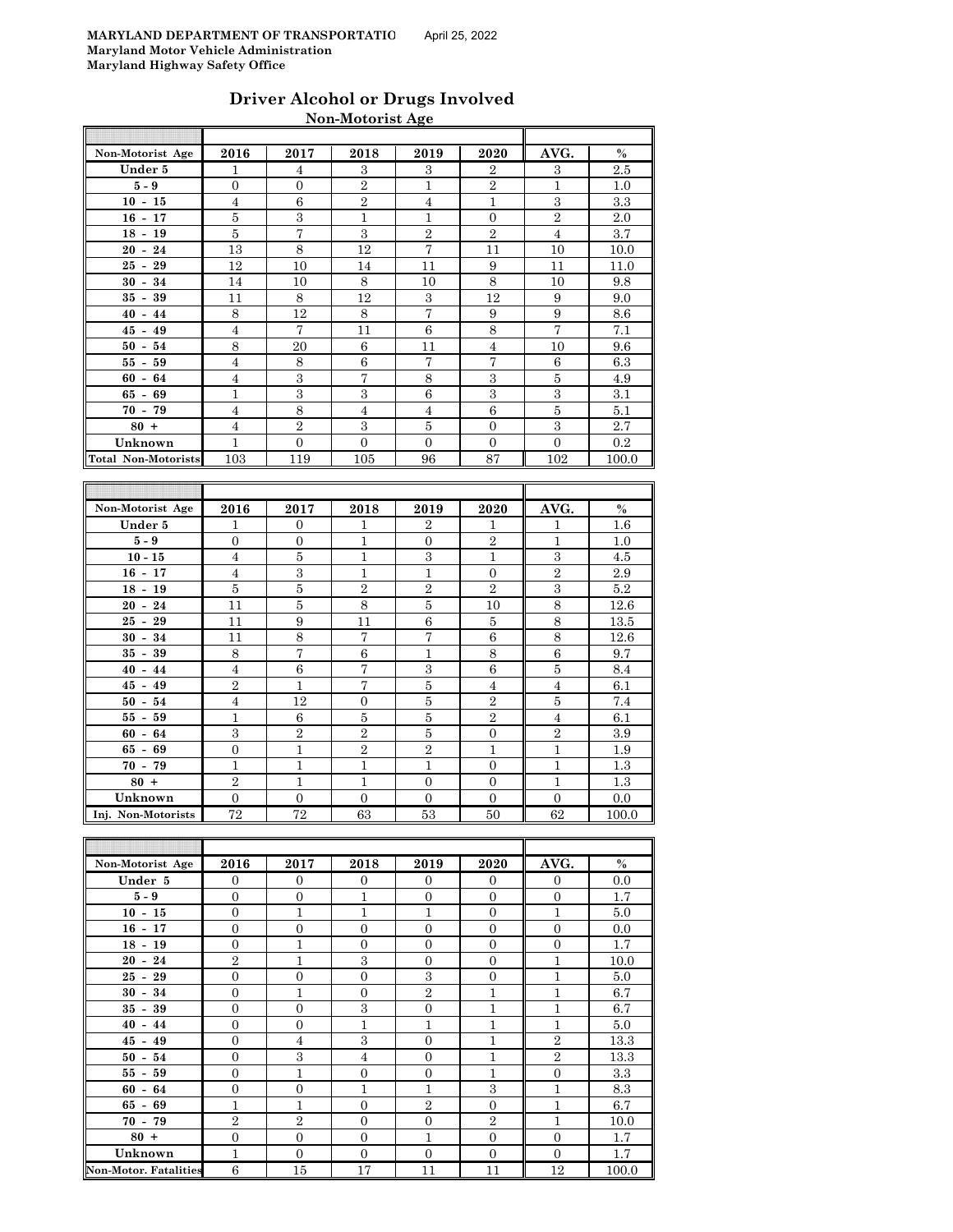| Driver Alcohol or Drugs Involved |
|----------------------------------|
| Non-Motorist Age                 |

| Non-Motorist Age           | 2016             | 2017             | 2018           | 2019           | 2020             | AVG.             | $\%$             |
|----------------------------|------------------|------------------|----------------|----------------|------------------|------------------|------------------|
| Under 5                    | 1                | 4                | 3              | 3              | $\overline{2}$   | 3                | 2.5              |
| $5-9$                      | $\overline{0}$   | $\overline{0}$   | $\overline{2}$ | $\mathbf{1}$   | $\overline{2}$   | $\mathbf{1}$     | 1.0              |
| $10 - 15$                  | $\overline{4}$   | $\;$ 6           | $\,2$          | $\overline{4}$ | $\mathbf{1}$     | $\,3$            | 3.3              |
| $16 - 17$                  | $\bf 5$          | 3                | $\mathbf{1}$   | $\mathbf{1}$   | $\boldsymbol{0}$ | $\overline{2}$   | 2.0              |
| $18 - 19$                  | 5                | $\overline{7}$   | $\,3$          | $\overline{2}$ | $\sqrt{2}$       | $\overline{4}$   | 3.7              |
| $20 - 24$                  | 13               | 8                | 12             | $\overline{7}$ | 11               | 10               | 10.0             |
| $25 - 29$                  | 12               | 10               | 14             | 11             | 9                | 11               | 11.0             |
| $30 - 34$                  | 14               | 10               | 8              | 10             | 8                | 10               | 9.8              |
| $35 - 39$                  | 11               | 8                | 12             | 3              | 12               | 9                | 9.0              |
| $40 - 44$                  | 8                | 12               | $\,8\,$        | $\overline{7}$ | 9                | 9                | $\!\!8.6$        |
| $45 - 49$                  | $\overline{4}$   | 7                | 11             | $\,6$          | 8                | $\overline{7}$   | 7.1              |
| $50 - 54$                  | 8                | 20               | $\,6$          | 11             | $\overline{4}$   | 10               | 9.6              |
| $55 - 59$                  | $\overline{4}$   | 8                | 6              | $\overline{7}$ | $\overline{7}$   | 6                | 6.3              |
| $60 - 64$                  | $\overline{4}$   | $\,3$            | 7              | 8              | $\rm 3$          | $\overline{5}$   | 4.9              |
| $65 - 69$                  | $\mathbf{1}$     | 3                | 3              | 6              | 3                | 3                | 3.1              |
| $70 - 79$                  | $\overline{4}$   | $\,8\,$          | $\overline{4}$ | $\overline{4}$ | $\,6$            | $\bf 5$          | 5.1              |
| $80 +$                     | $\overline{4}$   | $\overline{2}$   | 3              | 5              | $\Omega$         | 3                | 2.7              |
| Unknown                    | $\mathbf{1}$     | $\overline{0}$   | $\overline{0}$ | $\mathbf{0}$   | $\mathbf{0}$     | $\overline{0}$   | 0.2              |
| <b>Total Non-Motorists</b> | 103              | 119              | 105            | 96             | 87               | 102              | 100.0            |
|                            |                  |                  |                |                |                  |                  |                  |
|                            |                  |                  |                |                |                  |                  |                  |
| Non-Motorist Age           | 2016             | 2017             | 2018           | 2019           | 2020             | AVG.             | $\%$             |
| Under 5                    | 1                | $\overline{0}$   | 1              | $\overline{2}$ | 1                | 1                | 1.6              |
| $5-9$                      | $\overline{0}$   | $\overline{0}$   | $\mathbf{1}$   | $\mathbf{0}$   | $\overline{2}$   | $\mathbf 1$      | 1.0              |
| $10 - 15$                  | $\overline{4}$   | 5                | $\mathbf{1}$   | 3              | $\mathbf{1}$     | $\boldsymbol{3}$ | 4.5              |
| $16 - 17$                  | $\overline{4}$   | $\boldsymbol{3}$ | $\mathbf{1}$   | $\mathbf 1$    | $\boldsymbol{0}$ | $\overline{2}$   | 2.9              |
| $18 - 19$                  | 5                | $\bf 5$          | $\overline{2}$ | $\overline{2}$ | $\overline{2}$   | 3                | $5.2\,$          |
| $20 - 24$                  | 11               | $\overline{5}$   | $\,8\,$        | $\bf 5$        | 10               | $\,8\,$          | 12.6             |
| $25 - 29$                  | 11               | 9                | 11             | 6              | $\overline{5}$   | 8                | 13.5             |
| $30 - 34$                  | 11               | 8                | $\overline{7}$ | $\overline{7}$ | 6                | 8                | 12.6             |
| $35 - 39$                  | 8                | 7                | $\,6$          | $\mathbf{1}$   | 8                | 6                | 9.7              |
| $40 - 44$                  | 4                | 6                | $\overline{7}$ | 3              | 6                | 5                | 8.4              |
| $45 - 49$                  | $\overline{2}$   | $\mathbf{1}$     | $\overline{7}$ | $\bf 5$        | $\overline{4}$   | $\overline{4}$   | 6.1              |
| $50 - 54$                  | $\overline{4}$   | 12               | $\mathbf{0}$   | $\overline{5}$ | $\overline{2}$   | 5                | 7.4              |
| $55 - 59$                  | $\mathbf{1}$     | 6                | $\bf 5$        | $\overline{5}$ | $\overline{2}$   | 4                | 6.1              |
| $60 - 64$                  | 3                | $\overline{2}$   | $\sqrt{2}$     | $\bf 5$        | $\boldsymbol{0}$ | $\overline{2}$   | 3.9              |
| $65 - 69$                  | $\boldsymbol{0}$ | $\mathbf{1}$     | $\,2$          | $\sqrt{2}$     | $\mathbf{1}$     | 1                | 1.9              |
| $70 - 79$                  | $\mathbf{1}$     | $\mathbf{1}$     | $\mathbf{1}$   | $\mathbf{1}$   | $\mathbf{0}$     | $\mathbf{1}$     | 1.3              |
| $80 +$                     | $\overline{2}$   | $\overline{1}$   | $\mathbf{1}$   | $\overline{0}$ | $\overline{0}$   | $\mathbf{1}$     | $\overline{1.3}$ |

| Non-Motorist Age             | 2016           | 2017           | 2018           | 2019           | 2020           | AVG.           | $\%$  |
|------------------------------|----------------|----------------|----------------|----------------|----------------|----------------|-------|
| Under 5                      | $\overline{0}$ | $\overline{0}$ | $\theta$       | $\Omega$       | $\overline{0}$ | $\mathbf{0}$   | 0.0   |
| $5-9$                        | $\mathbf{0}$   | $\mathbf{0}$   | 1              | $\theta$       | $\overline{0}$ | $\overline{0}$ | 1.7   |
| $10 - 15$                    | $\mathbf{0}$   | $\mathbf{1}$   | $\mathbf{1}$   | 1              | $\overline{0}$ | $\mathbf{1}$   | 5.0   |
| $16 - 17$                    | $\mathbf{0}$   | $\overline{0}$ | $\overline{0}$ | $\mathbf{0}$   | $\overline{0}$ | $\overline{0}$ | 0.0   |
| $18 - 19$                    | $\mathbf{0}$   | $\mathbf{1}$   | $\mathbf{0}$   | $\mathbf{0}$   | $\overline{0}$ | $\overline{0}$ | 1.7   |
| $20 - 24$                    | $\overline{2}$ | $\mathbf{1}$   | 3              | $\Omega$       | $\overline{0}$ | $\mathbf{1}$   | 10.0  |
| $25 - 29$                    | $\Omega$       | $\overline{0}$ | $\Omega$       | 3              | $\overline{0}$ | 1              | 5.0   |
| $30 - 34$                    | $\Omega$       | $\mathbf{1}$   | $\Omega$       | $\overline{2}$ | 1              | $\mathbf{1}$   | 6.7   |
| $35 - 39$                    | $\mathbf{0}$   | $\mathbf{0}$   | 3              | $\Omega$       | $\mathbf{1}$   | $\mathbf{1}$   | 6.7   |
| $40 - 44$                    | $\mathbf{0}$   | $\mathbf{0}$   | 1              | $\overline{1}$ | $\mathbf{1}$   | $\mathbf{1}$   | 5.0   |
| $45 - 49$                    | $\mathbf{0}$   | $\overline{4}$ | 3              | $\Omega$       | $\mathbf{1}$   | $\,2$          | 13.3  |
| $50 - 54$                    | $\Omega$       | 3              | $\overline{4}$ | $\Omega$       | $\mathbf{1}$   | $\overline{2}$ | 13.3  |
| $55 - 59$                    | $\mathbf{0}$   | $\mathbf{1}$   | $\mathbf{0}$   | $\overline{0}$ | $\mathbf{1}$   | $\overline{0}$ | 3.3   |
| $60 - 64$                    | $\Omega$       | $\mathbf{0}$   | 1              | 1              | 3              | $\mathbf{1}$   | 8.3   |
| $65 - 69$                    | 1              | $\mathbf{1}$   | $\mathbf{0}$   | $\overline{2}$ | $\overline{0}$ | 1              | 6.7   |
| $70 - 79$                    | $\overline{2}$ | $\overline{2}$ | $\Omega$       | $\Omega$       | $\overline{2}$ | 1              | 10.0  |
| $80 +$                       | $\mathbf{0}$   | $\mathbf{0}$   | $\Omega$       | 1              | $\mathbf{0}$   | $\overline{0}$ | 1.7   |
| Unknown                      | 1              | $\mathbf{0}$   | $\theta$       | $\theta$       | $\mathbf{0}$   | $\theta$       | 1.7   |
| <b>Non-Motor. Fatalities</b> | 6              | 15             | 17             | 11             | 11             | 12             | 100.0 |

**Unknown** 0 0 0 0 0 0 0.0

**Inj. Non-Motorists**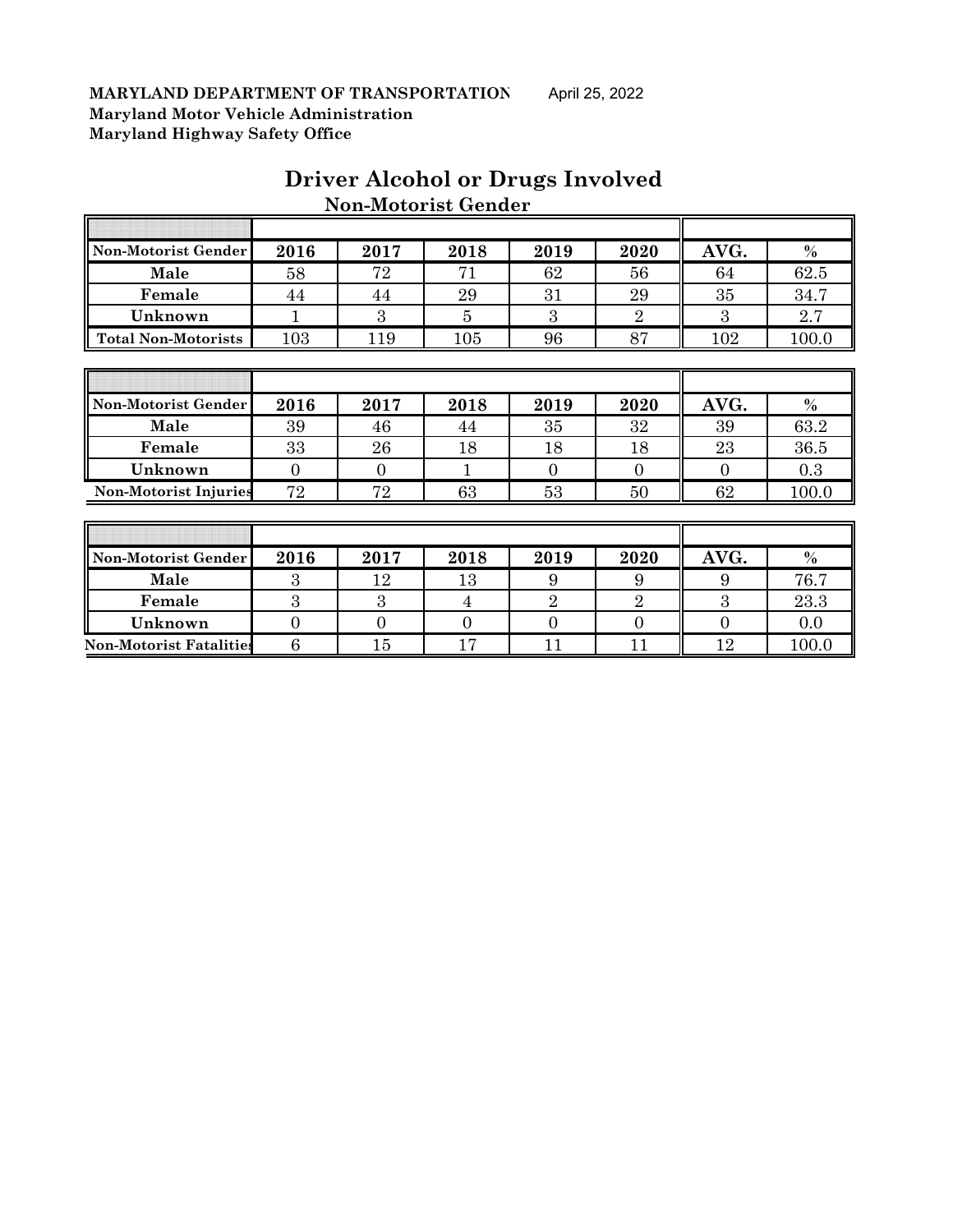| Non-Motorist Gender          | 2016     | 2017     | 2018 | 2019           | 2020           | AVG.     | $\%$          |
|------------------------------|----------|----------|------|----------------|----------------|----------|---------------|
| Male                         | 58       | 72       | 71   | 62             | 56             | 64       | 62.5          |
| Female                       | 44       | 44       | 29   | 31             | 29             | 35       | 34.7          |
| Unknown                      | 1        | 3        | 5    | 3              | $\overline{2}$ | 3        | 2.7           |
| <b>Total Non-Motorists</b>   | 103      | 119      | 105  | 96             | 87             | 102      | 100.0         |
|                              |          |          |      |                |                |          |               |
|                              |          |          |      |                |                |          |               |
| Non-Motorist Gender          | 2016     | 2017     | 2018 | 2019           | 2020           | AVG.     | $\%$          |
| Male                         | 39       | 46       | 44   | 35             | 32             | 39       | 63.2          |
| Female                       | 33       | 26       | 18   | 18             | 18             | 23       | 36.5          |
| Unknown                      | $\Omega$ | $\theta$ |      | $\Omega$       | $\Omega$       | $\Omega$ | 0.3           |
| <b>Non-Motorist Injuries</b> | 72       | 72       | 63   | 53             | 50             | 62       | 100.0         |
|                              |          |          |      |                |                |          |               |
|                              |          |          |      |                |                |          |               |
| Non-Motorist Gender          | 2016     | 2017     | 2018 | 2019           | 2020           | AVG.     | $\frac{0}{0}$ |
| Male                         | 3        | 12       | 13   | 9              | 9              | 9        | 76.7          |
| Female                       | 3        | 3        | 4    | $\overline{2}$ | $\overline{2}$ | 3        | 23.3          |

**Unknown** 0 0 0 0 0 0 0.0 **Non-Motorist Fatalities** 6 15 17 11 11 12 100.0

### **Driver Alcohol or Drugs Involved Non-Motorist Gender**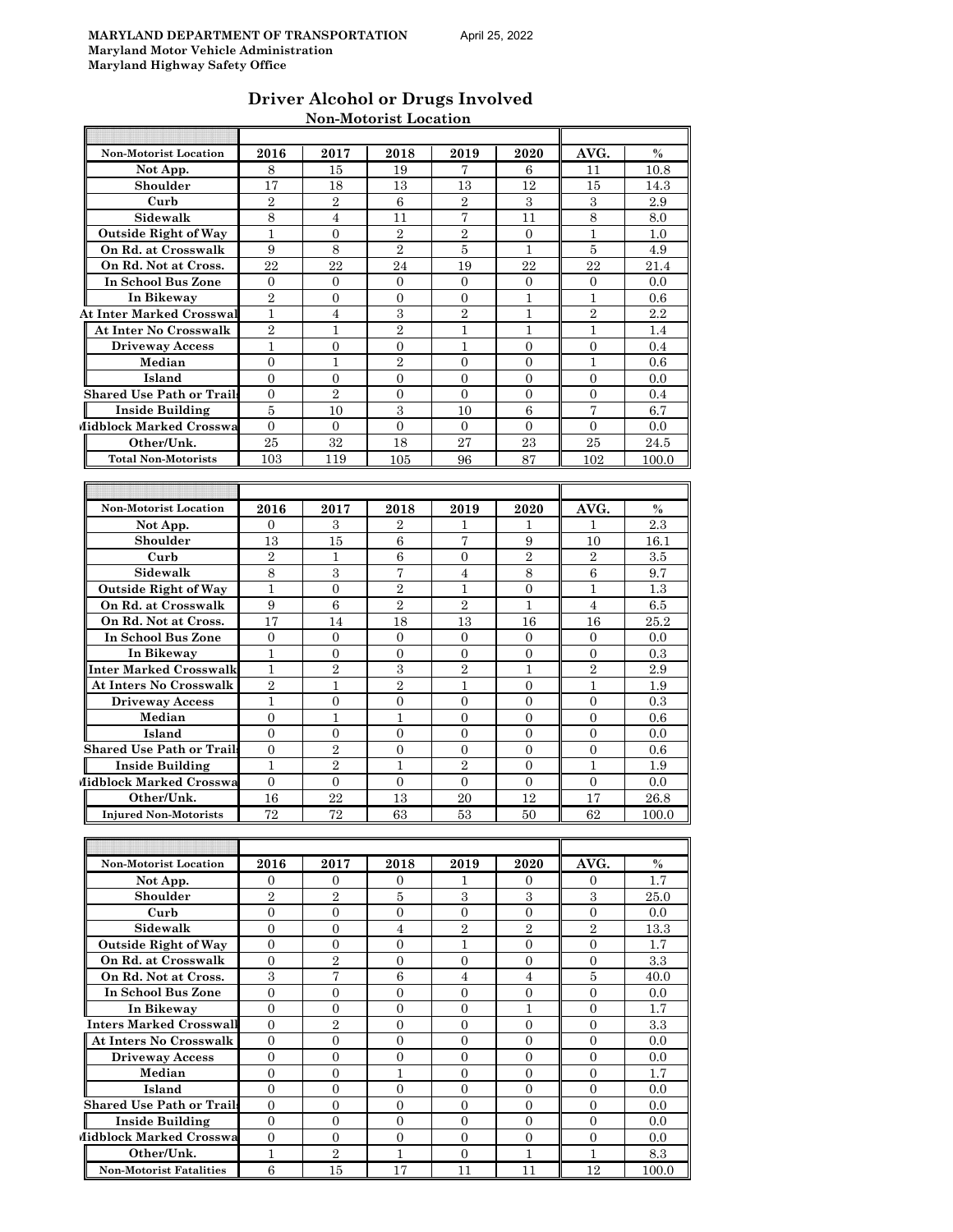| Driver Alcohol or Drugs Involved |
|----------------------------------|
| <b>Non-Motorist Location</b>     |

| <b>Non-Motorist Location</b>     | 2016             | 2017             | 2018             | 2019             | 2020             | AVG.             | $\%$             |
|----------------------------------|------------------|------------------|------------------|------------------|------------------|------------------|------------------|
| Not App.                         | 8                | 15               | 19               | 7                | 6                | 11               | 10.8             |
| Shoulder                         | 17               | 18               | 13               | 13               | 12               | 15               | 14.3             |
| Curb                             | $\overline{2}$   | $\overline{2}$   | 6                | $\overline{2}$   | 3                | 3                | 2.9              |
| Sidewalk                         | 8                | 4                | 11               | 7                | 11               | 8                | 8.0              |
| <b>Outside Right of Way</b>      | $\mathbf{1}$     | $\overline{0}$   | $\overline{2}$   | $\overline{2}$   | $\overline{0}$   | 1                | 1.0              |
| On Rd. at Crosswalk              | 9                | 8                | $\overline{2}$   | 5                | $\mathbf{1}$     | 5                | 4.9              |
| On Rd. Not at Cross.             | 22               | 22               | 24               | 19               | 22               | 22               | 21.4             |
| In School Bus Zone               | $\overline{0}$   | 0                | $\mathbf{0}$     | $\Omega$         | $\Omega$         | 0                | 0.0              |
| In Bikeway                       | $\overline{2}$   | $\Omega$         | $\Omega$         | $\Omega$         | 1                | 1                | 0.6              |
| <b>At Inter Marked Crosswal</b>  | $\mathbf{1}$     | $\overline{4}$   | 3                | $\overline{2}$   | $\mathbf{1}$     | $\overline{2}$   | 2.2              |
| At Inter No Crosswalk            | $\overline{2}$   | 1                | $\overline{2}$   | 1                | 1                | 1                | 1.4              |
| <b>Driveway Access</b>           | $\mathbf{1}$     | $\overline{0}$   | $\overline{0}$   | $\mathbf{1}$     | $\overline{0}$   | $\overline{0}$   | 0.4              |
| Median                           | $\overline{0}$   | 1                | $\overline{2}$   | $\overline{0}$   | $\overline{0}$   | 1                | 0.6              |
| Island                           | $\overline{0}$   | 0                | $\overline{0}$   | 0                | $\overline{0}$   | 0                | 0.0              |
| Shared Use Path or Trail:        | 0                | $\overline{2}$   | $\mathbf{0}$     | $\mathbf{0}$     | 0                | 0                | 0.4              |
| <b>Inside Building</b>           | 5                | 10               | 3                | 10               | 6                | 7                | 6.7              |
| Midblock Marked Crosswa          | $\theta$         | $\mathbf{0}$     | $\overline{0}$   | $\Omega$         | $\overline{0}$   | $\overline{0}$   | 0.0              |
| Other/Unk.                       | 25               | 32               | 18               | 27               | 23               | 25               | 24.5             |
| <b>Total Non-Motorists</b>       | 103              | 119              | 105              | 96               | 87               | 102              | 100.0            |
|                                  |                  |                  |                  |                  |                  |                  |                  |
|                                  |                  |                  |                  |                  |                  |                  |                  |
| <b>Non-Motorist Location</b>     | 2016             | 2017             | 2018             | 2019             | 2020             | AVG.             | $\%$             |
| Not App.                         | 0                | 3                | 2                | 1                |                  | 1                | 2.3              |
| Shoulder                         | 13               | 15               | 6                | $\overline{7}$   | 9                | 10               | 16.1             |
| Curb                             | $\overline{2}$   | $\mathbf{1}$     | $\,6$            | $\overline{0}$   | $\overline{2}$   | $\overline{2}$   | 3.5              |
| Sidewalk                         | 8                | 3                | 7                | 4                | 8                | 6                | 9.7              |
| <b>Outside Right of Way</b>      | 1                | $\overline{0}$   | $\overline{2}$   | 1                | $\overline{0}$   | 1                | 1.3              |
| On Rd. at Crosswalk              | 9                | $\,6$            | $\overline{2}$   | $\overline{2}$   | $\mathbf{1}$     | $\overline{4}$   | $6.5\,$          |
| On Rd. Not at Cross.             | 17               | 14               | 18               | 13               | 16               | 16               | 25.2             |
| In School Bus Zone               | 0                | 0                | $\mathbf{0}$     | 0                | 0                | 0                | 0.0              |
| In Bikeway                       | $\mathbf{1}$     | 0                | $\overline{0}$   | 0                | $\overline{0}$   | 0                | 0.3              |
| Inter Marked Crosswalk           | $\mathbf{1}$     | $\overline{2}$   | 3                | $\overline{2}$   | $\mathbf{1}$     | $\overline{2}$   | 2.9              |
| At Inters No Crosswalk           | $\overline{2}$   | 1                | $\overline{2}$   | 1                | $\mathbf{0}$     | 1                | 1.9              |
| <b>Driveway Access</b>           | 1                | 0                | $\overline{0}$   | $\Omega$         | $\Omega$         | 0                | 0.3              |
| Median                           | $\overline{0}$   | 1                | $\mathbf{1}$     | $\mathbf{0}$     | $\mathbf{0}$     | 0                | 0.6              |
| Island                           | $\overline{0}$   | $\overline{0}$   | $\overline{0}$   | $\overline{0}$   | $\overline{0}$   | $\overline{0}$   | 0.0              |
| <b>Shared Use Path or Trail</b>  | 0                | 2                | $\mathbf{0}$     | 0                | $\overline{0}$   | 0                | 0.6              |
| <b>Inside Building</b>           | $\mathbf{1}$     | $\overline{2}$   | $\mathbf{1}$     | $\overline{2}$   | $\overline{0}$   | 1                | 1.9              |
| Midblock Marked Crosswa          | $\Omega$         | $\overline{0}$   | $\overline{0}$   | $\overline{0}$   | $\overline{0}$   | $\overline{0}$   | 0.0              |
| Other/Unk.                       | 16               | 22               | 13               | 20               | 12               | 17               | 26.8             |
| <b>Injured Non-Motorists</b>     | 72               | 72               | 63               | 53               | 50               | 62               | 100.0            |
|                                  |                  |                  |                  |                  |                  |                  |                  |
|                                  |                  |                  |                  |                  |                  |                  |                  |
| Non-Motorist Location            | 2016             | 2017             | 2018             | 2019             | 2020             | AVG.             | $\%$             |
| Not App.                         | 0                | 0                | 0                | 1                | 0                | 0                | 1.7              |
| Shoulder                         | $\overline{2}$   | $\overline{2}$   | 5                | 3                | 3                | 3                | 25.0             |
| Curb                             | $\mathbf{0}$     | $\mathbf{0}$     | $\mathbf{0}$     | $\boldsymbol{0}$ | $\mathbf{0}$     | $\boldsymbol{0}$ | 0.0              |
| Sidewalk                         | $\boldsymbol{0}$ | 0                | $\overline{4}$   | $\sqrt{2}$       | $\overline{2}$   | $\sqrt{2}$       | 13.3             |
| <b>Outside Right of Way</b>      | $\overline{0}$   | 0                | 0                | $\mathbf 1$      | $\overline{0}$   | $\overline{0}$   | 1.7              |
| On Rd. at Crosswalk              | $\overline{0}$   | $\overline{2}$   | $\overline{0}$   | $\mathbf{0}$     | $\overline{0}$   | $\overline{0}$   | $\!3.3$          |
| On Rd. Not at Cross.             | $\,3$            | 7                | $\,6\,$          | $\overline{4}$   | $\overline{4}$   | $\bf 5$          | 40.0             |
| In School Bus Zone               | 0                | 0                | 0                | 0                | 0                | 0                | 0.0              |
| In Bikeway                       | $\overline{0}$   | $\boldsymbol{0}$ | $\overline{0}$   | $\mathbf{0}$     | $\mathbf{1}$     | $\mathbf{0}$     | 1.7              |
| <b>Inters Marked Crosswall</b>   | $\overline{0}$   | $\sqrt{2}$       | $\boldsymbol{0}$ | $\boldsymbol{0}$ | $\overline{0}$   | $\overline{0}$   | $3.\overline{3}$ |
| <b>At Inters No Crosswalk</b>    | 0                | 0                | 0                | $\boldsymbol{0}$ | $\boldsymbol{0}$ | 0                | 0.0              |
| <b>Driveway Access</b>           | 0                | 0                | 0                | 0                | 0                | 0                | 0.0              |
| Median                           | $\overline{0}$   | $\overline{0}$   | $\mathbf{1}$     | $\overline{0}$   | $\overline{0}$   | $\overline{0}$   | 1.7              |
| Island                           | $\overline{0}$   | $\overline{0}$   | $\overline{0}$   | $\mathbf{0}$     | $\overline{0}$   | $\boldsymbol{0}$ | $0.0\,$          |
| <b>Shared Use Path or Trails</b> | 0                | $\overline{0}$   | 0                | $\overline{0}$   | 0                | 0                | 0.0              |
| <b>Inside Building</b>           | $\overline{0}$   | $\overline{0}$   | $\overline{0}$   | $\overline{0}$   | $\overline{0}$   | $\mathbf{0}$     | 0.0              |
| Midblock Marked Crosswa          | $\boldsymbol{0}$ | $\mathbf{0}$     | $\mathbf{0}$     | $\overline{0}$   | $\boldsymbol{0}$ | $\boldsymbol{0}$ | 0.0              |
| Other/Unk.                       | $\mathbf{1}$     | $\overline{2}$   | $\mathbf{1}$     | $\overline{0}$   | $\mathbf{1}$     | $\mathbf{1}$     | 8.3              |

**Non-Motorist Fatalities** 6 15 17 11 11 12 100.0